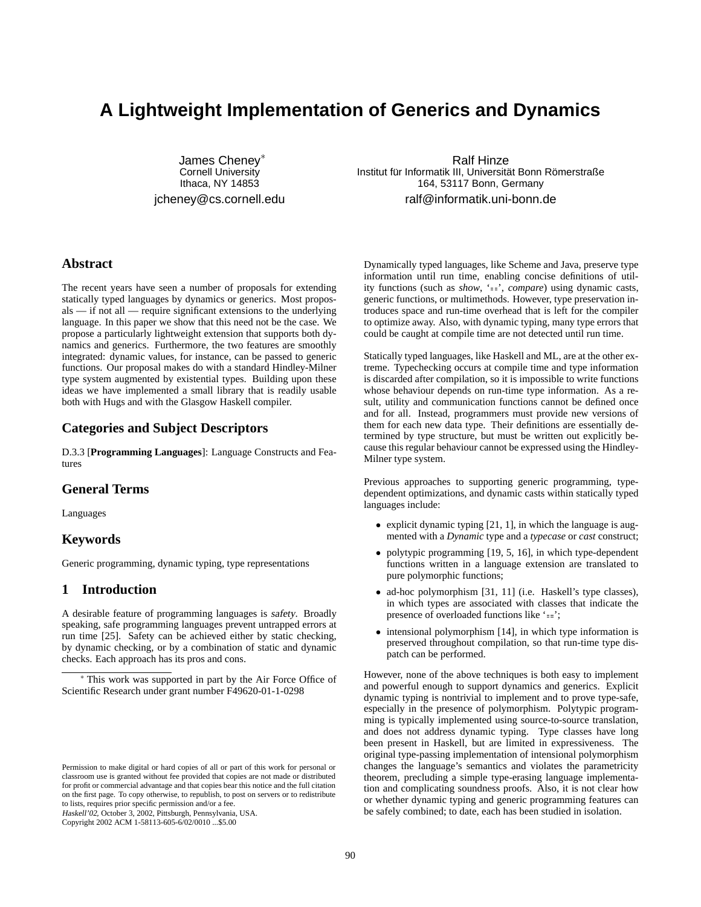# **A Lightweight Implementation of Generics and Dynamics**

James Cheney<sup>∗</sup> Cornell University Ithaca, NY 14853 jcheney@cs.cornell.edu

Ralf Hinze Institut für Informatik III, Universität Bonn Römerstraße 164, 53117 Bonn, Germany ralf@informatik.uni-bonn.de

## **Abstract**

The recent years have seen a number of proposals for extending statically typed languages by dynamics or generics. Most proposals — if not all — require significant extensions to the underlying language. In this paper we show that this need not be the case. We propose a particularly lightweight extension that supports both dynamics and generics. Furthermore, the two features are smoothly integrated: dynamic values, for instance, can be passed to generic functions. Our proposal makes do with a standard Hindley-Milner type system augmented by existential types. Building upon these ideas we have implemented a small library that is readily usable both with Hugs and with the Glasgow Haskell compiler.

### **Categories and Subject Descriptors**

D.3.3 [**Programming Languages**]: Language Constructs and Features

## **General Terms**

Languages

## **Keywords**

Generic programming, dynamic typing, type representations

## **1 Introduction**

A desirable feature of programming languages is safety. Broadly speaking, safe programming languages prevent untrapped errors at run time [25]. Safety can be achieved either by static checking, by dynamic checking, or by a combination of static and dynamic checks. Each approach has its pros and cons.

Haskell'02, October 3, 2002, Pittsburgh, Pennsylvania, USA.

Copyright 2002 ACM 1-58113-605-6/02/0010 ...\$5.00

Dynamically typed languages, like Scheme and Java, preserve type information until run time, enabling concise definitions of utility functions (such as *show*, '==', *compare*) using dynamic casts, generic functions, or multimethods. However, type preservation introduces space and run-time overhead that is left for the compiler to optimize away. Also, with dynamic typing, many type errors that could be caught at compile time are not detected until run time.

Statically typed languages, like Haskell and ML, are at the other extreme. Typechecking occurs at compile time and type information is discarded after compilation, so it is impossible to write functions whose behaviour depends on run-time type information. As a result, utility and communication functions cannot be defined once and for all. Instead, programmers must provide new versions of them for each new data type. Their definitions are essentially determined by type structure, but must be written out explicitly because this regular behaviour cannot be expressed using the Hindley-Milner type system.

Previous approaches to supporting generic programming, typedependent optimizations, and dynamic casts within statically typed languages include:

- explicit dynamic typing [21, 1], in which the language is augmented with a *Dynamic* type and a *typecase* or *cast* construct;
- polytypic programming [19, 5, 16], in which type-dependent functions written in a language extension are translated to pure polymorphic functions;
- ad-hoc polymorphism [31, 11] (i.e. Haskell's type classes), in which types are associated with classes that indicate the presence of overloaded functions like '==';
- intensional polymorphism [14], in which type information is preserved throughout compilation, so that run-time type dispatch can be performed.

However, none of the above techniques is both easy to implement and powerful enough to support dynamics and generics. Explicit dynamic typing is nontrivial to implement and to prove type-safe, especially in the presence of polymorphism. Polytypic programming is typically implemented using source-to-source translation, and does not address dynamic typing. Type classes have long been present in Haskell, but are limited in expressiveness. The original type-passing implementation of intensional polymorphism changes the language's semantics and violates the parametricity theorem, precluding a simple type-erasing language implementation and complicating soundness proofs. Also, it is not clear how or whether dynamic typing and generic programming features can be safely combined; to date, each has been studied in isolation.

<sup>∗</sup> This work was supported in part by the Air Force Office of Scientific Research under grant number F49620-01-1-0298

Permission to make digital or hard copies of all or part of this work for personal or classroom use is granted without fee provided that copies are not made or distributed for profit or commercial advantage and that copies bear this notice and the full citation on the first page. To copy otherwise, to republish, to post on servers or to redistribute to lists, requires prior specific permission and/or a fee.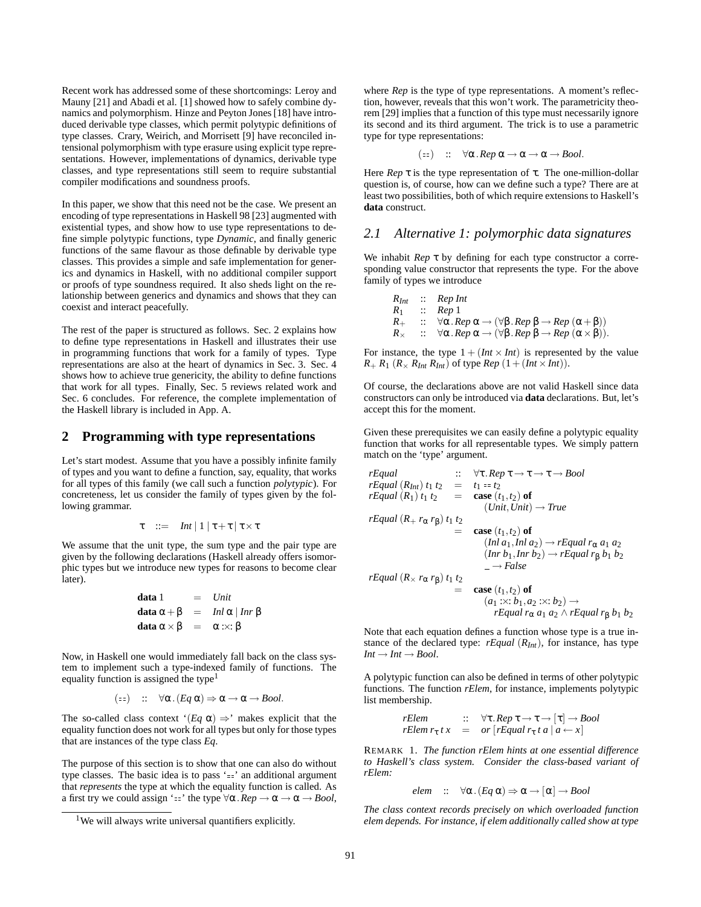Recent work has addressed some of these shortcomings: Leroy and Mauny [21] and Abadi et al. [1] showed how to safely combine dynamics and polymorphism. Hinze and Peyton Jones [18] have introduced derivable type classes, which permit polytypic definitions of type classes. Crary, Weirich, and Morrisett [9] have reconciled intensional polymorphism with type erasure using explicit type representations. However, implementations of dynamics, derivable type classes, and type representations still seem to require substantial compiler modifications and soundness proofs.

In this paper, we show that this need not be the case. We present an encoding of type representations in Haskell 98 [23] augmented with existential types, and show how to use type representations to define simple polytypic functions, type *Dynamic*, and finally generic functions of the same flavour as those definable by derivable type classes. This provides a simple and safe implementation for generics and dynamics in Haskell, with no additional compiler support or proofs of type soundness required. It also sheds light on the relationship between generics and dynamics and shows that they can coexist and interact peacefully.

The rest of the paper is structured as follows. Sec. 2 explains how to define type representations in Haskell and illustrates their use in programming functions that work for a family of types. Type representations are also at the heart of dynamics in Sec. 3. Sec. 4 shows how to achieve true genericity, the ability to define functions that work for all types. Finally, Sec. 5 reviews related work and Sec. 6 concludes. For reference, the complete implementation of the Haskell library is included in App. A.

#### **2 Programming with type representations**

Let's start modest. Assume that you have a possibly infinite family of types and you want to define a function, say, equality, that works for all types of this family (we call such a function polytypic). For concreteness, let us consider the family of types given by the following grammar.

$$
\tau \quad ::= \quad Int \mid 1 \mid \tau + \tau \mid \tau \times \tau
$$

We assume that the unit type, the sum type and the pair type are given by the following declarations (Haskell already offers isomorphic types but we introduce new types for reasons to become clear later).

$$
\begin{array}{rcl}\n\text{data 1} & = & Unit \\
\text{data } \alpha + \beta & = & Inl \alpha \mid \text{Inr } \beta \\
\text{data } \alpha \times \beta & = & \alpha \colon \times: \beta\n\end{array}
$$

Now, in Haskell one would immediately fall back on the class system to implement such a type-indexed family of functions. The equality function is assigned the type<sup>1</sup>

$$
(:=): \forall \alpha. (Eq \alpha) \Rightarrow \alpha \rightarrow \alpha \rightarrow Bool.
$$

The so-called class context '(*Eq*  $\alpha$ )  $\Rightarrow$ ' makes explicit that the equality function does not work for all types but only for those types that are instances of the type class *Eq*.

The purpose of this section is to show that one can also do without type classes. The basic idea is to pass '==' an additional argument that *represents* the type at which the equality function is called. As a first try we could assign '==' the type  $\forall \alpha$ .  $Rep \rightarrow \alpha \rightarrow \alpha \rightarrow Bool$ ,

where *Rep* is the type of type representations. A moment's reflection, however, reveals that this won't work. The parametricity theorem [29] implies that a function of this type must necessarily ignore its second and its third argument. The trick is to use a parametric type for type representations:

$$
(:=): \quad \forall \alpha \, . \, Rep \, \alpha \to \alpha \to \alpha \to \text{Bool}.
$$

Here *Rep* τ is the type representation of τ. The one-million-dollar question is, of course, how can we define such a type? There are at least two possibilities, both of which require extensions to Haskell's **data** construct.

### *2.1 Alternative 1: polymorphic data signatures*

We inhabit *Rep* τ by defining for each type constructor a corresponding value constructor that represents the type. For the above family of types we introduce

$$
R_{Int} :: Rep Int
$$
  
\n
$$
R_1 :: Rep 1
$$
  
\n
$$
R_+ :: \forall \alpha \ldots Rep \alpha \rightarrow (\forall \beta \ldots Rep \beta \rightarrow Rep (\alpha + \beta))
$$
  
\n
$$
R_{\times} :: \forall \alpha \ldots Rep \alpha \rightarrow (\forall \beta \ldots Rep \beta \rightarrow Rep (\alpha \times \beta)).
$$

For instance, the type  $1 + (Int \times Int)$  is represented by the value  $R_+ R_1$  ( $R_\times R_{Int} R_{Int}$ ) of type  $Rep(1 + (Int \times Int))$ .

Of course, the declarations above are not valid Haskell since data constructors can only be introduced via **data** declarations. But, let's accept this for the moment.

Given these prerequisites we can easily define a polytypic equality function that works for all representable types. We simply pattern match on the 'type' argument.

$$
\begin{array}{rcl}\n\textit{r} \textit{Equal} &:: & \forall \tau. \textit{Rep } \tau \rightarrow \tau \rightarrow \tau \rightarrow \textit{Bool} \\
\textit{r} \textit{Equal } (R_{Int}) \ t_1 \ t_2 & = & t_1 =: t_2 \\
\textit{r} \textit{Equal } (R_1) \ t_1 \ t_2 & = & \textbf{case } (t_1, t_2) \ \textbf{of} \\
& (Unit, Unit) \rightarrow True \\
\textit{r} \textit{Equal } (R_+ \ r_\alpha \ r_\beta) \ t_1 \ t_2 & = & \textbf{case } (t_1, t_2) \ \textbf{of} \\
& (Init, l \textit{init}) \rightarrow \textit{r} \textit{Equal } r_\alpha \ a_1 \ a_2 \\
& (Int \ b_1, Int \ b_2) \rightarrow \textit{r} \textit{Equal } r_\beta \ b_1 \ b_2 \\
& & - \rightarrow \textit{False} \\
\textit{r} \textit{Equal } (R \times r_\alpha \ r_\beta) \ t_1 \ t_2 & = & \textbf{case } (t_1, t_2) \ \textbf{of} \\
& (a_1 \times : \ b_1, a_2 \times : \ b_2) \rightarrow \\
& r \textit{Equal } r_\alpha \ a_1 \ a_2 \ \wedge \textit{r} \textit{Equal } r_\beta \ b_1 \ b_2\n\end{array}
$$

Note that each equation defines a function whose type is a true instance of the declared type: *rEqual* (*RInt*), for instance, has type  $Int \rightarrow Int \rightarrow Bool.$ 

A polytypic function can also be defined in terms of other polytypic functions. The function *rElem*, for instance, implements polytypic list membership.

$$
\begin{array}{lll}\n\textit{r}\\
\textit{r}\\
\textit{r}\\
\textit{r}\\
\textit{r}\\
\textit{r}\\
\textit{t}\\
\textit{u}\\
\textit{v}\\
\textit{v}\\
\textit{v}\\
\textit{v}\\
\textit{v}\\
\textit{v}\\
\textit{v}\\
\textit{v}\\
\textit{v}\\
\textit{v}\\
\textit{v}\\
\textit{v}\\
\textit{v}\\
\textit{v}\\
\textit{v}\\
\textit{v}\\
\textit{v}\\
\textit{v}\\
\textit{v}\\
\textit{v}\\
\textit{v}\\
\textit{v}\\
\textit{v}\\
\textit{v}\\
\textit{v}\\
\textit{v}\\
\textit{v}\\
\textit{v}\\
\textit{v}\\
\textit{v}\\
\textit{v}\\
\textit{v}\\
\textit{v}\\
\textit{v}\\
\textit{v}\\
\textit{v}\\
\textit{v}\\
\textit{v}\\
\textit{v}\\
\textit{v}\\
\textit{v}\\
\textit{v}\\
\textit{v}\\
\textit{v}\\
\textit{v}\\
\textit{v}\\
\textit{v}\\
\textit{v}\\
\textit{v}\\
\textit{v}\\
\textit{v}\\
\textit{v}\\
\textit{v}\\
\textit{v}\\
\textit{v}\\
\textit{v}\\
\textit{v}\\
\textit{v}\\
\textit{v}\\
\textit{v}\\
\textit{v}\\
\textit{v}\\
\textit{v}\\
\textit{v}\\
\textit{v}\\
\textit{v}\\
\textit{v}\\
\textit{v}\\
\textit{v}\\
\textit{v}\\
\textit{v}\\
\textit{v}\\
\textit{v}\\
\textit{v}\\
\textit{v}\\
\textit{v}\\
\textit{v}\\
\textit{v}\\
\textit{v}\\
\textit{v}\\
\textit{v}\\
\textit{v}\\
\textit{v}\\
\textit{v}\\
\textit{v}\\
\textit{v}\\
\textit{v}\\
\textit{v}\\
\textit{v}\\
\textit{v}\\
\textit{v}\\
\textit{v}\\
\textit{v}\\
\textit{v}\\
\textit{v}\\
\textit{v}\\
\textit{v}\\
\textit{v}\\
\textit{v}\\
\text
$$

REMARK 1. *The function rElem hints at one essential difference to Haskell's class system. Consider the class-based variant of rElem:*

$$
elem \ :: \ \forall \alpha. (Eq \alpha) \Rightarrow \alpha \rightarrow [\alpha] \rightarrow Bool
$$

*The class context records precisely on which overloaded function elem depends. For instance, if elem additionally called show at type*

<sup>&</sup>lt;sup>1</sup>We will always write universal quantifiers explicitly.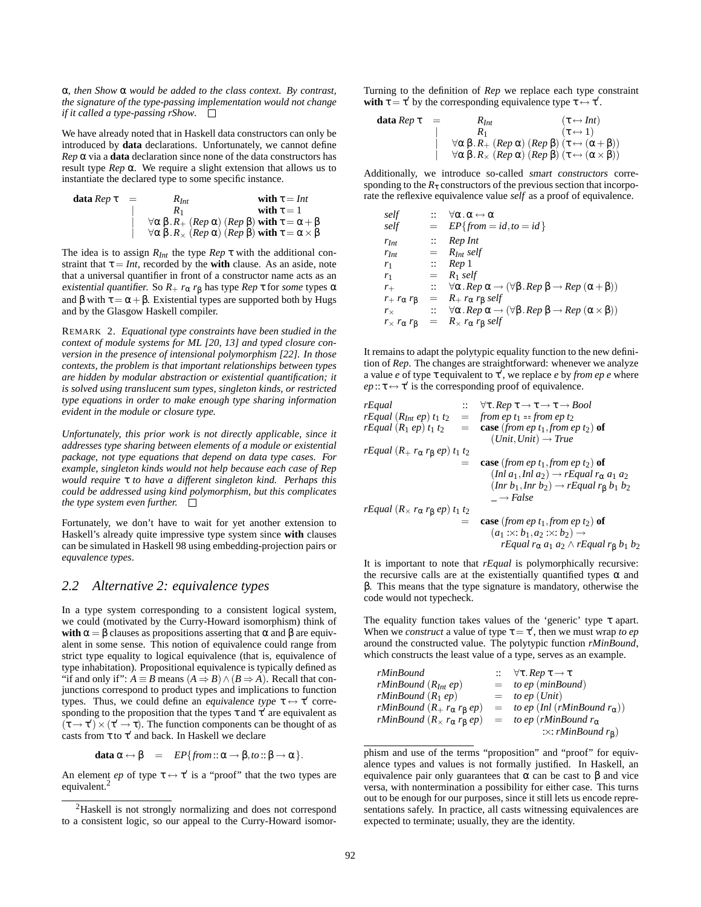α*, then Show* α *would be added to the class context. By contrast, the signature of the type-passing implementation would not change if it called a type-passing rShow.*

We have already noted that in Haskell data constructors can only be introduced by **data** declarations. Unfortunately, we cannot define  $Rep \alpha$  via a **data** declaration since none of the data constructors has result type *Rep* α. We require a slight extension that allows us to instantiate the declared type to some specific instance.

**data**  $Rep \tau = R_{Int}$  with  $\tau = Int$  $R_1$  **with**  $\tau = 1$ | ∀α β.*R*+ (*Rep* α) (*Rep* β) **with** τ = α+β | ∀α β.*R*× (*Rep* α) (*Rep* β) **with** τ = α×β

The idea is to assign *RInt* the type *Rep* τ with the additional constraint that  $\tau = Int$ , recorded by the **with** clause. As an aside, note that a universal quantifier in front of a constructor name acts as an existential quantifier. So  $R_+ r_\alpha r_\beta$  has type  $Rep \tau$  for *some* types  $\alpha$ and β with  $\tau = \alpha + \beta$ . Existential types are supported both by Hugs and by the Glasgow Haskell compiler.

REMARK 2. *Equational type constraints have been studied in the context of module systems for ML [20, 13] and typed closure conversion in the presence of intensional polymorphism [22]. In those contexts, the problem is that important relationships between types are hidden by modular abstraction or existential quantification; it is solved using translucent sum types, singleton kinds, or restricted type equations in order to make enough type sharing information evident in the module or closure type.*

*Unfortunately, this prior work is not directly applicable, since it addresses type sharing between elements of a module or existential package, not type equations that depend on data type cases. For example, singleton kinds would not help because each case of Rep would require* τ *to have a different singleton kind. Perhaps this could be addressed using kind polymorphism, but this complicates the type system even further.*

Fortunately, we don't have to wait for yet another extension to Haskell's already quite impressive type system since **with** clauses can be simulated in Haskell 98 using embedding-projection pairs or *equvalence types*.

### *2.2 Alternative 2: equivalence types*

In a type system corresponding to a consistent logical system, we could (motivated by the Curry-Howard isomorphism) think of with  $\alpha = \beta$  clauses as propositions asserting that  $\alpha$  and  $\beta$  are equivalent in some sense. This notion of equivalence could range from strict type equality to logical equivalence (that is, equivalence of type inhabitation). Propositional equivalence is typically defined as "if and only if":  $A \equiv B$  means  $(A \Rightarrow B) \land (B \Rightarrow A)$ . Recall that conjunctions correspond to product types and implications to function types. Thus, we could define an equivalence type  $\tau \leftrightarrow \tau'$  corresponding to the proposition that the types  $\tau$  and  $\tau'$  are equivalent as  $(\tau \rightarrow \tau') \times (\tau' \rightarrow \tau)$ . The function components can be thought of as casts from  $\tau$  to  $\tau'$  and back. In Haskell we declare

**data** α ↔ β = *EP*{*from* :: α → β,*to* :: β → α}.

An element *ep* of type  $\tau \leftrightarrow \tau'$  is a "proof" that the two types are equivalent.<sup>2</sup>

Turning to the definition of *Rep* we replace each type constraint with  $\tau = \tau'$  by the corresponding equivalence type  $\tau \leftrightarrow \tau'$ .

$$
\begin{array}{rcl}\n\textbf{data } Rep \ \tau & = & R_{Int} & (\tau \leftrightarrow Int) \\
& & & \\
\downarrow & & R_1 & (\tau \leftrightarrow 1) \\
& & \forall \alpha \beta \cdot R_+ \ (Rep \ \alpha) \ (Rep \ \beta) \ (\tau \leftrightarrow (\alpha + \beta)) \\
& & \forall \alpha \beta \cdot R_\times \ (Rep \ \alpha) \ (Rep \ \beta) \ (\tau \leftrightarrow (\alpha \times \beta))\n\end{array}
$$

Additionally, we introduce so-called smart constructors corresponding to the  $R<sub>\tau</sub>$  constructors of the previous section that incorporate the reflexive equivalence value *self* as a proof of equivalence.

self :: 
$$
\forall \alpha \cdot \alpha \leftrightarrow \alpha
$$
  
\nself = EP{from = id, to = id}  
\n $r_{Int}$  :: Rep Int  
\n $r_1$  :: Rep 1  
\n $r_1$  :: Rep 1  
\n $r_1$  :: Rep 1  
\n $r_1$  :: Rep 2  
\n $r_1$  :: Rep 3  
\n $r_1$  :: Vol. Rep  $\alpha \rightarrow (\forall \beta \cdot Rep \beta \rightarrow Rep (\alpha + \beta))$   
\n $r_1 r_\alpha r_\beta$  = R<sub>+</sub>  $r_\alpha r_\beta$  self  
\n $r_\times$  ::  $\forall \alpha \cdot Rep \alpha \rightarrow (\forall \beta \cdot Rep \beta \rightarrow Rep (\alpha \times \beta))$   
\n $r_\times r_\alpha r_\beta$  = R<sub>×</sub>  $r_\alpha r_\beta$  self

It remains to adapt the polytypic equality function to the new definition of *Rep*. The changes are straightforward: whenever we analyze a value *e* of type τ equivalent to τ 0 , we replace *e* by *from ep e* where  $ep$  ::  $\tau \leftrightarrow \tau'$  is the corresponding proof of equivalence.

| rEqual                                             |     | $\forall \tau \ldotp Rep \tau \rightarrow \tau \rightarrow \tau \rightarrow Bool$                           |
|----------------------------------------------------|-----|-------------------------------------------------------------------------------------------------------------|
| rEqual $(R_{Int}ep)$ t <sub>1</sub> t <sub>2</sub> |     | $=$ from ep t <sub>1</sub> == from ep t <sub>2</sub>                                                        |
| <i>rEqual</i> $(R_1 ep)$ $t_1 t_2$                 | $=$ | case (from ep $t_1$ , from ep $t_2$ ) of                                                                    |
|                                                    |     | $(Unit, Unit) \rightarrow True$                                                                             |
| <i>rEqual</i> $(R_+ r_\alpha r_\beta e p) t_1 t_2$ |     |                                                                                                             |
|                                                    | $=$ | <b>case</b> (from ep t <sub>1</sub> , from ep t <sub>2</sub> ) of                                           |
|                                                    |     | $( Inl a1, Inl a2) \rightarrow r$ Equal $r\alpha a1 a2$                                                     |
|                                                    |     | $(Inv b1, Inv b2) \rightarrow rEqual r\beta b1 b2$                                                          |
|                                                    |     | $\rightarrow$ False                                                                                         |
| <i>rEqual</i> $(R_x r_\alpha r_\beta e p) t_1 t_2$ |     |                                                                                                             |
|                                                    | $=$ | <b>case</b> (from ep t <sub>1</sub> , from ep t <sub>2</sub> ) of                                           |
|                                                    |     | $(a_1: \times: b_1, a_2: \times: b_2) \rightarrow$                                                          |
|                                                    |     | rEqual $r_{\alpha}$ a <sub>1</sub> a <sub>2</sub> $\wedge$ rEqual $r_{\beta}$ b <sub>1</sub> b <sub>2</sub> |

It is important to note that *rEqual* is polymorphically recursive: the recursive calls are at the existentially quantified types  $\alpha$  and β. This means that the type signature is mandatory, otherwise the code would not typecheck.

The equality function takes values of the 'generic' type  $\tau$  apart. When we *construct* a value of type  $\tau = \tau'$ , then we must wrap *to ep* around the constructed value. The polytypic function *rMinBound*, which constructs the least value of a type, serves as an example.

| rMinBound                              | $\therefore$ $\forall \tau \ldotp Rep \tau \rightarrow \tau$ |
|----------------------------------------|--------------------------------------------------------------|
| rMinBound $(R_{Int}ep)$                | $=$ to ep (minBound)                                         |
| rMinBound $(R_1ep)$                    | $=$ to ep (Unit)                                             |
| rMinBound $(R_+ r_\alpha r_\beta e p)$ | $=$ to ep (Inl (rMinBound $r_{\alpha}$ ))                    |
| rMinBound $(R_x r_\alpha r_\beta e p)$ | $=$ to ep (rMinBound r <sub><math>\alpha</math></sub>        |
|                                        | : $\times$ : rMinBound r <sub>B</sub> )                      |

phism and use of the terms "proposition" and "proof" for equivalence types and values is not formally justified. In Haskell, an equivalence pair only guarantees that  $\alpha$  can be cast to  $\beta$  and vice versa, with nontermination a possibility for either case. This turns out to be enough for our purposes, since it still lets us encode representations safely. In practice, all casts witnessing equivalences are expected to terminate; usually, they are the identity.

<sup>2</sup>Haskell is not strongly normalizing and does not correspond to a consistent logic, so our appeal to the Curry-Howard isomor-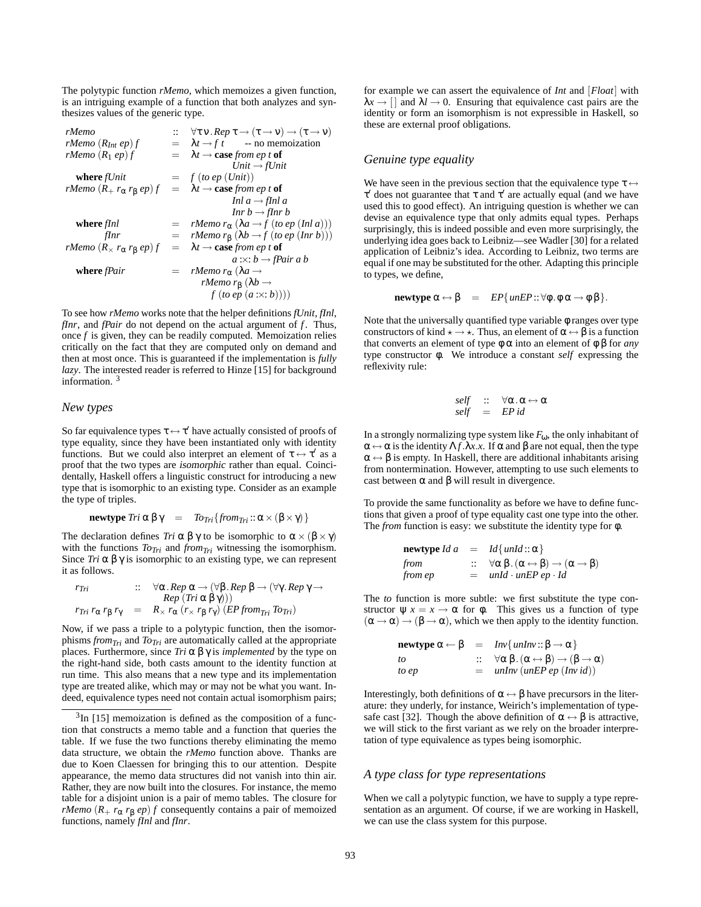The polytypic function *rMemo*, which memoizes a given function, is an intriguing example of a function that both analyzes and synthesizes values of the generic type.

| rMemo                                           | $\therefore$ $\forall \tau \vee Rep \tau \rightarrow (\tau \rightarrow \vee) \rightarrow (\tau \rightarrow \vee)$ |
|-------------------------------------------------|-------------------------------------------------------------------------------------------------------------------|
| rMemo $(R_{Int}ep) f$                           | $= \lambda t \rightarrow f t$ -- no memoization                                                                   |
| rMemo $(R_1ep)f$                                | $= \lambda t \rightarrow \textbf{case}$ from ep t of                                                              |
|                                                 | $Unit \rightarrow fUnit$                                                                                          |
|                                                 |                                                                                                                   |
| where $fUnit$                                   | $= f(toep (Unit))$                                                                                                |
| rMemo $(R_+ r_\alpha r_\beta e p) f$            | $= \lambda t \rightarrow \textbf{case}$ from ep t of                                                              |
|                                                 | Inl $a \rightarrow fInl a$                                                                                        |
|                                                 | Inr $b \rightarrow$ fInr b                                                                                        |
| where <i>fInl</i>                               | $=$ rMemo $r_{\alpha}$ ( $\lambda a \rightarrow f$ (to ep (Inl a)))                                               |
| fInr                                            | $=$ rMemo $r_{\beta}$ ( $\lambda b \rightarrow f$ (to ep (Inr b)))                                                |
| rMemo $(R_{\times} r_{\alpha} r_{\beta} e p) f$ | $= \lambda t \rightarrow \textbf{case}$ from ep t of                                                              |
|                                                 | $a:\times: b \rightarrow fPair a b$                                                                               |
| where <i>fPair</i>                              | $=$ rMemo $r_{\alpha}$ ( $\lambda a \rightarrow$                                                                  |
|                                                 | <i>rMemo</i> $r_{\beta}$ ( $\lambda b \rightarrow$                                                                |
|                                                 | f (to ep (a: x:b)))                                                                                               |

To see how *rMemo* works note that the helper definitions *fUnit*, *fInl*, *fInr*, and *fPair* do not depend on the actual argument of *f*. Thus, once *f* is given, they can be readily computed. Memoization relies critically on the fact that they are computed only on demand and then at most once. This is guaranteed if the implementation is *fully lazy*. The interested reader is referred to Hinze [15] for background information.<sup>3</sup>

#### *New types*

So far equivalence types  $\tau \leftrightarrow \tau'$  have actually consisted of proofs of type equality, since they have been instantiated only with identity functions. But we could also interpret an element of  $\tau \leftrightarrow \tau'$  as a proof that the two types are isomorphic rather than equal. Coincidentally, Haskell offers a linguistic construct for introducing a new type that is isomorphic to an existing type. Consider as an example the type of triples.

**newtype** *Tri* 
$$
\alpha \beta \gamma
$$
 =  $\text{Tor}_{Tri} \{\text{from}_{Tri} :: \alpha \times (\beta \times \gamma) \}$ 

The declaration defines *Tri*  $\alpha \beta \gamma$  to be isomorphic to  $\alpha \times (\beta \times \gamma)$ with the functions *ToTri* and *fromTri* witnessing the isomorphism. Since  $Tri \alpha \beta \gamma$  is isomorphic to an existing type, we can represent it as follows.

$$
r_{Tri} \qquad :: \qquad \forall \alpha \, \text{.} \, Rep \, \alpha \rightarrow (\forall \beta \, \text{.} \, Rep \, \beta \rightarrow (\forall \gamma \, \text{.} \, Rep \, \gamma \rightarrow
$$

$$
Rep \, (Tri \, \alpha \, \beta \, \gamma)))
$$

$$
r_{Tri} \, r_{\alpha} \, r_{\beta} \, r_{\gamma} = R_{\times} \, r_{\alpha} \, (r_{\times} \, r_{\beta} \, r_{\gamma}) \, (EP \, from \, r_{Tri} \, Tor_{Tri})
$$

Now, if we pass a triple to a polytypic function, then the isomorphisms  $from<sub>Tri</sub>$  and  $To<sub>Tri</sub>$  are automatically called at the appropriate places. Furthermore, since *Tri* α β γ is *implemented* by the type on the right-hand side, both casts amount to the identity function at run time. This also means that a new type and its implementation type are treated alike, which may or may not be what you want. Indeed, equivalence types need not contain actual isomorphism pairs;

for example we can assert the equivalence of *Int* and [*Float*] with  $\lambda x \rightarrow ||$  and  $\lambda l \rightarrow 0$ . Ensuring that equivalence cast pairs are the identity or form an isomorphism is not expressible in Haskell, so these are external proof obligations.

#### *Genuine type equality*

We have seen in the previous section that the equivalence type  $\tau \leftrightarrow$  $\tau'$  does not guarantee that  $\tau$  and  $\tau'$  are actually equal (and we have used this to good effect). An intriguing question is whether we can devise an equivalence type that only admits equal types. Perhaps surprisingly, this is indeed possible and even more surprisingly, the underlying idea goes back to Leibniz—see Wadler [30] for a related application of Leibniz's idea. According to Leibniz, two terms are equal if one may be substituted for the other. Adapting this principle to types, we define,

$$
\text{newtype } \alpha \leftrightarrow \beta = EP\{\text{unEP}::\forall \phi \ldotp \phi \alpha \rightarrow \phi \beta\}.
$$

Note that the universally quantified type variable  $\phi$  ranges over type constructors of kind  $\star \rightarrow \star$ . Thus, an element of  $\alpha \leftrightarrow \beta$  is a function that converts an element of type φ α into an element of φ β for *any* type constructor φ. We introduce a constant *self* expressing the reflexivity rule:

$$
\begin{array}{rcl}\n\text{self} & :: & \forall \alpha \ldotp \alpha \leftrightarrow \alpha \\
\text{self} & = & EP \text{ id}\n\end{array}
$$

In a strongly normalizing type system like  $F_{\omega}$ , the only inhabitant of  $\alpha \leftrightarrow \alpha$  is the identity  $\Lambda f.\lambda x.x$ . If  $\alpha$  and  $\beta$  are not equal, then the type  $\alpha \leftrightarrow \beta$  is empty. In Haskell, there are additional inhabitants arising from nontermination. However, attempting to use such elements to cast between α and β will result in divergence.

To provide the same functionality as before we have to define functions that given a proof of type equality cast one type into the other. The *from* function is easy: we substitute the identity type for φ.

$$
\begin{array}{rcl}\n\textbf{newtype } Id \ a & = & Id\{ \text{unId} :: \alpha \} \\
\text{from} & :: & \forall \alpha \beta . (\alpha \leftrightarrow \beta) \rightarrow (\alpha \rightarrow \beta) \\
\text{from } ep & = & \text{unId} \cdot \text{unEP } ep \cdot Id\n\end{array}
$$

The *to* function is more subtle: we first substitute the type constructor  $\psi$  *x* = *x* →  $\alpha$  for  $\phi$ . This gives us a function of type  $(\alpha \rightarrow \alpha) \rightarrow (\beta \rightarrow \alpha)$ , which we then apply to the identity function.

| newtype $\alpha \leftarrow \beta$ | $= \text{Inv}\{\text{unInv} : \beta \rightarrow \alpha\}$                                      |
|-----------------------------------|------------------------------------------------------------------------------------------------|
| to                                | $\forall \alpha \beta . (\alpha \leftrightarrow \beta) \rightarrow (\beta \rightarrow \alpha)$ |
| to ep                             | unInv $(unEPep (Inv id))$                                                                      |

Interestingly, both definitions of  $\alpha \leftrightarrow \beta$  have precursors in the literature: they underly, for instance, Weirich's implementation of typesafe cast [32]. Though the above definition of  $\alpha \leftrightarrow \beta$  is attractive, we will stick to the first variant as we rely on the broader interpretation of type equivalence as types being isomorphic.

#### *A type class for type representations*

When we call a polytypic function, we have to supply a type representation as an argument. Of course, if we are working in Haskell, we can use the class system for this purpose.

 $3$ In [15] memoization is defined as the composition of a function that constructs a memo table and a function that queries the table. If we fuse the two functions thereby eliminating the memo data structure, we obtain the *rMemo* function above. Thanks are due to Koen Claessen for bringing this to our attention. Despite appearance, the memo data structures did not vanish into thin air. Rather, they are now built into the closures. For instance, the memo table for a disjoint union is a pair of memo tables. The closure for *rMemo*  $(R_+ r_\alpha r_\beta \, ep) f$  consequently contains a pair of memoized functions, namely *fInl* and *fInr*.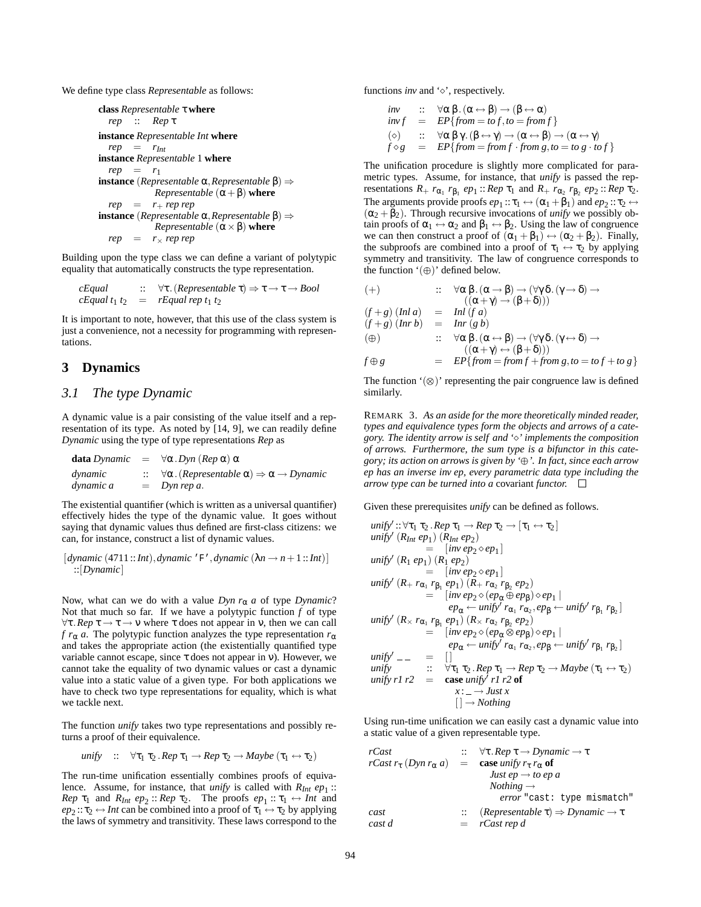We define type class *Representable* as follows:

class Representable 
$$
\tau
$$
 where  
\nrep :: Rep  $\tau$   
\ninstance Representable Int where  
\nrep = r<sub>Int</sub>  
\ninstance Representable 1 where  
\nrep = r<sub>1</sub>  
\ninstance (Representable  $\alpha$ , Representable  $\beta$ )  $\Rightarrow$   
\nRepresentable  $(\alpha + \beta)$  where  
\nrep = r<sub>+</sub> rep rep  
\ninstance (Representable  $\alpha$ , Representable  $\beta$ )  $\Rightarrow$   
\nRepresentable  $(\alpha \times \beta)$  where  
\nrep = r<sub>x</sub> rep rep

Building upon the type class we can define a variant of polytypic equality that automatically constructs the type representation.

*cEqual* ::  $\forall \tau$ . (*Representable*  $\tau$ )  $\Rightarrow$   $\tau \rightarrow$  *T* $\rightarrow$  *Bool cEqual t*<sub>1</sub> *t*<sub>2</sub> = *rEqual rep t*<sub>1</sub> *t*<sub>2</sub>

It is important to note, however, that this use of the class system is just a convenience, not a necessity for programming with representations.

### **3 Dynamics**

### *3.1 The type Dynamic*

A dynamic value is a pair consisting of the value itself and a representation of its type. As noted by [14, 9], we can readily define *Dynamic* using the type of type representations *Rep* as

|           | <b>data</b> Dynamic $= \forall \alpha \cdot D$ yn (Rep $\alpha$ ) $\alpha$                           |
|-----------|------------------------------------------------------------------------------------------------------|
| dynamic   | $\therefore$ $\forall \alpha$ . (Representable $\alpha$ ) $\Rightarrow$ $\alpha \rightarrow$ Dynamic |
| dynamic a | $=$ Dyn rep a.                                                                                       |

The existential quantifier (which is written as a universal quantifier) effectively hides the type of the dynamic value. It goes without saying that dynamic values thus defined are first-class citizens: we can, for instance, construct a list of dynamic values.

$$
[dynamic (4711::Int), dynamic 'F', dynamic (\lambda n \rightarrow n+1::Int)]
$$
  
::[Dynamic]

Now, what can we do with a value *Dyn r*α *a* of type *Dynamic*? Not that much so far. If we have a polytypic function  $f$  of type  $\forall \tau \cdot Rep \tau \rightarrow \tau \rightarrow \nu$  where  $\tau$  does not appear in  $\nu$ , then we can call *f*  $r_{\alpha}$  *a*. The polytypic function analyzes the type representation  $r_{\alpha}$ and takes the appropriate action (the existentially quantified type variable cannot escape, since  $\tau$  does not appear in v). However, we cannot take the equality of two dynamic values or cast a dynamic value into a static value of a given type. For both applications we have to check two type representations for equality, which is what we tackle next.

The function *unify* takes two type representations and possibly returns a proof of their equivalence.

$$
\textit{unify} \quad :: \quad \forall \tau_1 \; \tau_2 \, . \textit{Rep} \; \tau_1 \rightarrow \textit{Rep} \; \tau_2 \rightarrow \textit{Maybe} \; (\tau_1 \leftrightarrow \tau_2)
$$

The run-time unification essentially combines proofs of equivalence. Assume, for instance, that *unify* is called with *RInt ep*<sup>1</sup> :: *Rep*  $\tau_1$  and  $R_{Int}$  *ep*<sub>2</sub> :: *Rep*  $\tau_2$ . The proofs  $ep_1$  ::  $\tau_1 \leftrightarrow Int$  and  $ep_2$ ::  $\tau_2 \leftrightarrow Int$  can be combined into a proof of  $\tau_1 \leftrightarrow \tau_2$  by applying the laws of symmetry and transitivity. These laws correspond to the functions *inv* and ' $\diamond'$ , respectively.

$$
\begin{array}{rcl}\n\text{inv} & :: & \forall \alpha \beta \cdot (\alpha \leftrightarrow \beta) \rightarrow (\beta \leftrightarrow \alpha) \\
\text{inv}f & = & EP\{\text{from} = \text{to f}, \text{to} = \text{from } f\} \\
(\diamond) & :: & \forall \alpha \beta \gamma \cdot (\beta \leftrightarrow \gamma) \rightarrow (\alpha \leftrightarrow \beta) \rightarrow (\alpha \leftrightarrow \gamma) \\
f \diamond g & = & EP\{\text{from} = \text{from } f \cdot \text{from } g, \text{to} = \text{to } g \cdot \text{to } f\}\n\end{array}
$$

The unification procedure is slightly more complicated for parametric types. Assume, for instance, that *unify* is passed the representations  $R_+$   $r_{\alpha_1}$   $r_{\beta_1}$  *ep*<sub>1</sub> :: *Rep*  $\tau_1$  and  $R_+$   $r_{\alpha_2}$   $r_{\beta_2}$  *ep*<sub>2</sub> :: *Rep*  $\tau_2$ . The arguments provide proofs  $ep_1$ ::  $\tau_1 \leftrightarrow (\alpha_1 + \beta_1)$  and  $ep_2$ ::  $\tau_2 \leftrightarrow$  $(\alpha_2 + \beta_2)$ . Through recursive invocations of *unify* we possibly obtain proofs of  $\alpha_1 \leftrightarrow \alpha_2$  and  $\beta_1 \leftrightarrow \beta_2$ . Using the law of congruence we can then construct a proof of  $(\alpha_1 + \beta_1) \leftrightarrow (\alpha_2 + \beta_2)$ . Finally, the subproofs are combined into a proof of  $\tau_1 \leftrightarrow \tau_2$  by applying symmetry and transitivity. The law of congruence corresponds to the function  $'(\oplus)'$  defined below.

$$
\begin{array}{rcl}\n (+) & \cdots & \forall \alpha \beta. (\alpha \rightarrow \beta) \rightarrow (\forall \gamma \delta. (\gamma \rightarrow \delta) \rightarrow \\
 & ((\alpha + \gamma) \rightarrow (\beta + \delta)))\n \end{array}
$$
\n
$$
\begin{array}{rcl}\n (f + g) (Inl a) & = & Inl (f a) \\
 (f + g) (Inr b) & = & Inr (g b) \\
 \Rightarrow & & \vdots \\
 (\alpha + \gamma) \rightarrow (\beta + \delta)))\n \end{array}
$$
\n
$$
\begin{array}{rcl}\n (f + g) & \cdots & \forall \alpha \beta. (\alpha \rightarrow \beta) \rightarrow (\forall \gamma \delta. (\gamma \rightarrow \delta) \rightarrow \\
 & ((\alpha + \gamma) \rightarrow (\beta + \delta)))\n \end{array}
$$
\n
$$
f \oplus g = EP\{from = fromf + from g, to = tof + tog\}
$$

The function  $(\otimes)$ ' representing the pair congruence law is defined similarly.

REMARK 3. *As an aside for the more theoretically minded reader, types and equivalence types form the objects and arrows of a category. The identity arrow is self and '* $\diamond$ *' implements the composition of arrows. Furthermore, the sum type is a bifunctor in this category; its action on arrows is given by ''. In fact, since each arrow ep has an inverse inv ep, every parametric data type including the arrow type can be turned into a* covariant *functor.*

Given these prerequisites *unify* can be defined as follows.

$$
unify' :: \forall \tau_1 \tau_2. Rep \tau_1 \rightarrow Rep \tau_2 \rightarrow [\tau_1 \leftrightarrow \tau_2]
$$
  
\n
$$
unify' (R_{Int} ep_1) (R_{Int} ep_2)
$$
  
\n
$$
= [inv \, ep_2 \diamond ep_1]
$$
  
\n
$$
unify' (R_1 ep_1) (R_1 ep_2)
$$
  
\n
$$
= [inv \, ep_2 \diamond ep_1]
$$
  
\n
$$
unify' (R_1 r_{\alpha_1} r_{\beta_1} ep_1) (R_1 r_{\alpha_2} r_{\beta_2} ep_2)
$$
  
\n
$$
= [inv \, ep_2 \diamond (ep_\alpha \oplus ep_\beta) \diamond ep_1 |
$$
  
\n
$$
ep_\alpha \leftarrow unify' r_{\alpha_1} r_{\alpha_2}, ep_\beta \leftarrow unify' r_{\beta_1} r_{\beta_2}]
$$
  
\n
$$
unify' (R \times r_{\alpha_1} r_{\beta_1} ep_1) (R \times r_{\alpha_2} r_{\beta_2} ep_2)
$$
  
\n
$$
= [inv \, ep_2 \diamond (ep_\alpha \otimes ep_\beta) \diamond ep_1 |
$$
  
\n
$$
ep_\alpha \leftarrow unify' r_{\alpha_1} r_{\alpha_2}, ep_\beta \leftarrow unify' r_{\beta_1} r_{\beta_2}]
$$
  
\n
$$
unify' \ - = \n \begin{bmatrix} \n \vdots \\ \n \vdots \\ \n \vdots \end{bmatrix}
$$
  
\n
$$
unify' \ - = \n \begin{bmatrix} \n \vdots \\ \n \vdots \\ \n \vdots \\ \n \vdots \\ \n \vdots \\ \n \vdots \\ \n \vdots \\ \n \vdots \\ \n \vdots \\ \n \vdots \\ \n \vdots \\ \n \vdots \\ \n \vdots \\ \n \vdots \\ \n \vdots \\ \n \vdots \\ \n \vdots \\ \n \vdots \\ \n \vdots \\ \n \vdots \\ \n \vdots \\ \n \vdots \\ \n \vdots \\ \n \vdots \\ \n \vdots \\ \n \vdots \\ \n \vdots \\ \n \vdots \\ \n \vdots \\ \n \vdots \\ \n \vdots \\ \n \vdots \\ \n \vdots \\ \n \vdots \\ \n \vdots \\ \n \vdots \\ \n \vdots \\
$$

Using run-time unification we can easily cast a dynamic value into a static value of a given representable type.

rCast : 
$$
\forall
$$
τ.  $Rep \tau → Dynamic → τ$   
\nrcast r<sub>τ</sub> (Dyn r<sub>α</sub> a) = **case** unity r<sub>τ</sub> r<sub>α</sub> of  
\nJust ep → to ep a  
\nNothing →  
\nerror "cast: type mismatch"  
\ncast : (Representable τ) ⇒ Dynamic → τ  
\ncast d = rCast rep d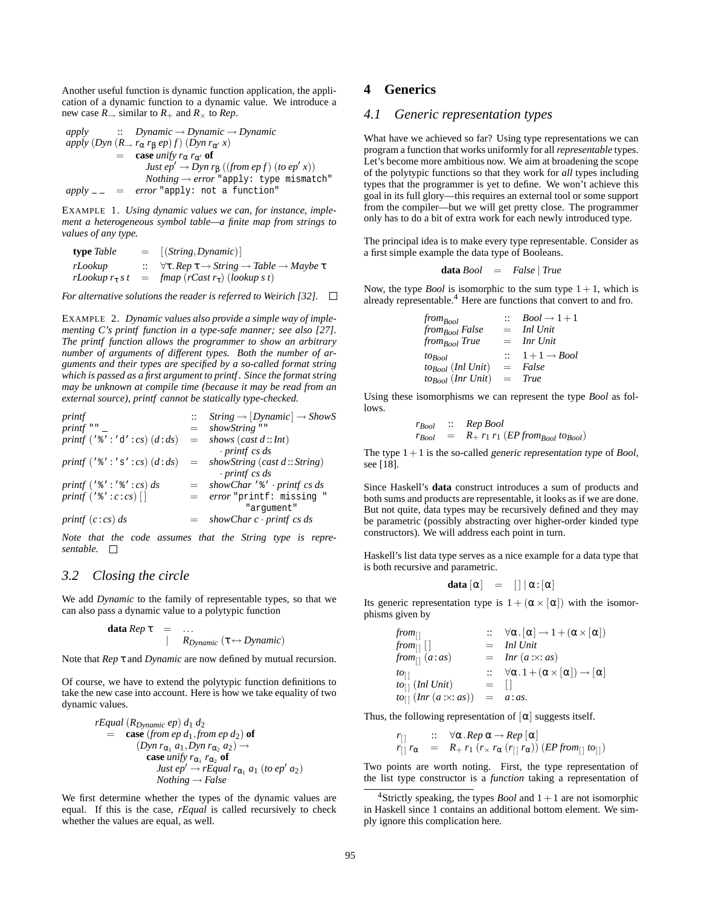Another useful function is dynamic function application, the application of a dynamic function to a dynamic value. We introduce a new case  $R_{\rightarrow}$  similar to  $R_{+}$  and  $R_{\times}$  to *Rep*.

*apply* :: *Dynamic* → *Dynamic* → *Dynamic*  $\alpha$ *apply*  $(Dyn (R \rightarrow r_{\alpha} r_{\beta} \cdot ep) f)(Dyn (r_{\alpha'} x)$  $=$  **case** *unify*  $r_{\alpha}$   $r_{\alpha'}$  **of**  $Just\ e\ p'\ \rightarrow \ \overline{D}yn\ r\beta\ ((from\ e\ \overline{p}f)\ (to\ e\overline{p}'\ x))$ *Nothing*  $\rightarrow error$  "apply: type mismatch"  $apply =$  =  $error$  "apply: not a function"

EXAMPLE 1. *Using dynamic values we can, for instance, implement a heterogeneous symbol table—a finite map from strings to values of any type.*

\n
$$
\text{type Table} = \left[ \left( \text{String}, \text{Dynamic} \right) \right]
$$
\n

\n\n $\text{rLookup} = \forall \tau \cdot \text{Rep } \tau \to \text{String } \to \text{Table } \to \text{ Maybe } \tau$ \n

\n\n $\text{rLookup } r_\tau \, \text{st} = \text{fmap} \left( \text{rCast } r_\tau \right) \left( \text{lookup } \text{st} \right)$ \n

*For alternative solutions the reader is referred to Weirich [32].*

EXAMPLE 2. *Dynamic values also provide a simple way of implementing C's printf function in a type-safe manner; see also [27]. The printf function allows the programmer to show an arbitrary number of arguments of different types. Both the number of arguments and their types are specified by a so-called format string which is passed as a first argument to printf . Since the format string may be unknown at compile time (because it may be read from an external source), printf cannot be statically type-checked.*

| $\therefore$ String $\rightarrow$ [Dynamic] $\rightarrow$ ShowS   |
|-------------------------------------------------------------------|
| $=$ showString ""                                                 |
| printf $(^{\circ}$ 8' : 'd' : cs) $(d:ds)$ = shows (cast d:: Int) |
| $\cdot$ printf cs ds                                              |
| $=$ showString (cast d: String)                                   |
| $\cdot$ printf cs ds                                              |
| $=$ showChar ' $\gamma$ ' · printf cs ds                          |
| = error "printf: missing "                                        |
| "arqument"                                                        |
| $=$ showChar c · printf cs ds                                     |
|                                                                   |

*Note that the code assumes that the String type is representable.*

### *3.2 Closing the circle*

We add *Dynamic* to the family of representable types, so that we can also pass a dynamic value to a polytypic function

**data** 
$$
Rep \tau = ...
$$
  
 |  $R_{Dynamic} (\tau \leftrightarrow Dynamic)$ 

Note that *Rep* τ and *Dynamic* are now defined by mutual recursion.

Of course, we have to extend the polytypic function definitions to take the new case into account. Here is how we take equality of two dynamic values.

$$
rEqual (RDynamic ep) d1 d2
$$
  
= **case** (from ep d<sub>1</sub>, from ep d<sub>2</sub>) **of**  
(Dyn r<sub>α<sub>1</sub></sub> a<sub>1</sub>, Dyn r<sub>α<sub>2</sub></sub> a<sub>2</sub>) →  
**case** unify r<sub>α<sub>1</sub></sub> r<sub>α<sub>2</sub></sub> **of**  
Just ep' → rEqual r<sub>α<sub>1</sub></sub> a<sub>1</sub> (to ep' a<sub>2</sub>)  
Nothing → False

We first determine whether the types of the dynamic values are equal. If this is the case, *rEqual* is called recursively to check whether the values are equal, as well.

## **4 Generics**

### *4.1 Generic representation types*

What have we achieved so far? Using type representations we can program a function that works uniformly for all *representable* types. Let's become more ambitious now. We aim at broadening the scope of the polytypic functions so that they work for *all* types including types that the programmer is yet to define. We won't achieve this goal in its full glory—this requires an external tool or some support from the compiler—but we will get pretty close. The programmer only has to do a bit of extra work for each newly introduced type.

The principal idea is to make every type representable. Consider as a first simple example the data type of Booleans.

**data** *Bool* = 
$$
False | True
$$

Now, the type *Bool* is isomorphic to the sum type  $1 + 1$ , which is already representable.<sup>4</sup> Here are functions that convert to and fro.

| $from_{Bool}$              |                | $Bool \rightarrow 1+1$ |
|----------------------------|----------------|------------------------|
| from <sub>Bool</sub> False |                | Inl Unit               |
| from <sub>Bool</sub> True  | $=$            | Inr Unit               |
| $to_{Bool}$                | $\mathbb{R}^n$ | $1+1 \rightarrow Bool$ |
| $to_{Bool}$ (Inl Unit)     | $=$            | False                  |
| $to_{Bool}$ (Inr Unit)     | $=$            | True                   |

Using these isomorphisms we can represent the type *Bool* as follows.

$$
r_{Bool} \quad :: \quad Rep \, Bool
$$
\n
$$
r_{Bool} \quad = \quad R_+ \, r_1 \, r_1 \, (EP \, from \,_{bool} \, to \,_{cool})
$$

The type  $1+1$  is the so-called *generic representation type* of *Bool*, see [18].

Since Haskell's **data** construct introduces a sum of products and both sums and products are representable, it looks as if we are done. But not quite, data types may be recursively defined and they may be parametric (possibly abstracting over higher-order kinded type constructors). We will address each point in turn.

Haskell's list data type serves as a nice example for a data type that is both recursive and parametric.

$$
\text{data} \, [\alpha] \quad = \quad [\,] \, | \, \alpha \colon [\alpha]
$$

Its generic representation type is  $1 + (\alpha \times [\alpha])$  with the isomorphisms given by

| $from_{[]}$                          |          | $\therefore$ $\forall \alpha . [\alpha] \rightarrow 1 + (\alpha \times [\alpha])$     |
|--------------------------------------|----------|---------------------------------------------------------------------------------------|
| from $\left[\right]$                 |          | $=$ Inl Unit                                                                          |
| from $\left[ a:as\right)$            |          | $= \text{Inr}(a:\times:as)$                                                           |
| $to_{\Box}$                          |          | $\therefore$ $\forall \alpha \cdot 1 + (\alpha \times [\alpha]) \rightarrow [\alpha]$ |
| $to_{\lceil}$ (Inl Unit)             | $=$ $  $ |                                                                                       |
| $to_{\lceil}$ (Inr $(a:\times:as)$ ) |          | $= a: as.$                                                                            |

Thus, the following representation of  $[\alpha]$  suggests itself.

$$
\begin{array}{lll}\nr_{[]} & \cdots & \forall \alpha.\,Rep \alpha \rightarrow Rep \ [\alpha] \\
r_{[]} \ r_{\alpha} & = & R_{+} \ r_{1} \ (r_{\times} \ r_{\alpha} \ (r_{[1} \ r_{\alpha})) \ (EP from_{[1} \ to_{[1]})\n\end{array}
$$

Two points are worth noting. First, the type representation of the list type constructor is a *function* taking a representation of

<sup>&</sup>lt;sup>4</sup>Strictly speaking, the types *Bool* and  $1+1$  are not isomorphic in Haskell since 1 contains an additional bottom element. We simply ignore this complication here.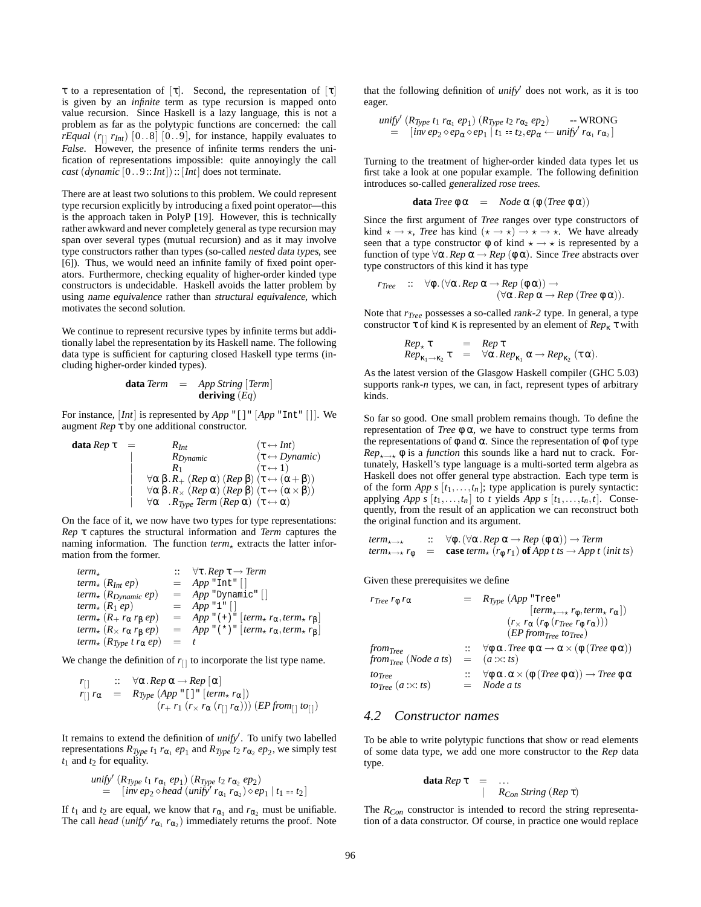$\tau$  to a representation of  $[\tau]$ . Second, the representation of  $[\tau]$ is given by an *infinite* term as type recursion is mapped onto value recursion. Since Haskell is a lazy language, this is not a problem as far as the polytypic functions are concerned: the call *rEqual*  $(r_{\text{[}1} \ r_{\text{Int}})$  [0..8] [0..9], for instance, happily evaluates to *False*. However, the presence of infinite terms renders the unification of representations impossible: quite annoyingly the call *cast* (*dynamic*  $[0..9::Int]$ ):: [*Int*] does not terminate.

There are at least two solutions to this problem. We could represent type recursion explicitly by introducing a fixed point operator—this is the approach taken in PolyP [19]. However, this is technically rather awkward and never completely general as type recursion may span over several types (mutual recursion) and as it may involve type constructors rather than types (so-called nested data types, see [6]). Thus, we would need an infinite family of fixed point operators. Furthermore, checking equality of higher-order kinded type constructors is undecidable. Haskell avoids the latter problem by using name equivalence rather than structural equivalence, which motivates the second solution.

We continue to represent recursive types by infinite terms but additionally label the representation by its Haskell name. The following data type is sufficient for capturing closed Haskell type terms (including higher-order kinded types).

**data** *Term* = 
$$
App String [Term]
$$
  
**deriving**  $(Eq)$ 

For instance, [*Int*] is represented by *App* "[]" [*App* "Int" [ ]]. We augment *Rep* τ by one additional constructor.

data 
$$
Rep \tau
$$
 =  $R_{Int}$   $(\tau \leftrightarrow Int)$   
\n $R_{Dynamic}$   $(\tau \leftrightarrow Dynamic)$   
\n $R_1$   $(\tau \leftrightarrow 1)$   
\n $\forall \alpha \beta . R_+ (Rep \alpha) (Rep \beta) (\tau \leftrightarrow (\alpha + \beta))$   
\n $\forall \alpha \beta . R_{\times} (Rep \alpha) (Rep \beta) (\tau \leftrightarrow (\alpha \times \beta))$   
\n $\forall \alpha . R_{Type Term} (Rep \alpha) (\tau \leftrightarrow \alpha)$ 

On the face of it, we now have two types for type representations: *Rep* τ captures the structural information and *Term* captures the naming information. The function  $term<sub>*</sub>$  extracts the latter information from the former.

$$
term_{\star} \quad :: \quad \forall \tau.\,Rep \tau \to Term
$$
\n
$$
term_{\star} \ (R_{Int} \, ep) \quad = \quad App \text{ "Int" } []
$$
\n
$$
term_{\star} \ (R_{Dynamic} \, ep) \quad = \quad App \text{ "Dynamic" } []
$$
\n
$$
term_{\star} \ (R_1 \, ep) \quad = \quad App \text{ " "Dynamic" } []
$$
\n
$$
term_{\star} \ (R_1 \, ep) \quad = \quad App \text{ " + " } []
$$
\n
$$
term_{\star} \ (R_{\star} \, r_{\alpha} \, r_{\beta} \, ep) \quad = \quad App \text{ " + " } ] \ (term_{\star} \, r_{\alpha}, term_{\star} \, r_{\beta} \, term_{\star} \ (R_{Type} \, t \, r_{\alpha} \, ep) \quad = \quad t \,
$$

We change the definition of  $r_{[]}$  to incorporate the list type name.

$$
\begin{array}{rcl}\nr_{[]} & \cdots & \forall \alpha.\, Rep \; \alpha \rightarrow Rep \; [\alpha] \\
r_{[]} \; r_{\alpha} & = & R_{Type} \; (App \; "[] \; " \; [term_{\star} \; r_{\alpha}]) \\
&\quad (r_{+} \; r_{1} \; (r_{\times} \; r_{\alpha} \; (r_{[]} \; r_{\alpha}))) \; (EP from_{[]} \; to_{[]})\n\end{array}
$$

It remains to extend the definition of *unify'*. To unify two labelled representations  $R_{Type}$  *t*<sub>1</sub>  $r_{\alpha_1}$  *ep*<sub>1</sub> and  $R_{Type}$  *t*<sub>2</sub>  $r_{\alpha_2}$  *ep*<sub>2</sub>, we simply test  $t_1$  and  $t_2$  for equality.

$$
unify' (R_{Type} t_1 r_{\alpha_1} ep_1) (R_{Type} t_2 r_{\alpha_2} ep_2)
$$
  
=  $[inv ep_2 \diamond head (unify' r_{\alpha_1} r_{\alpha_2}) \diamond ep_1 | t_1 = t_2]$ 

If  $t_1$  and  $t_2$  are equal, we know that  $r_{\alpha_1}$  and  $r_{\alpha_2}$  must be unifiable. The call *head* (*unify'*  $r_{\alpha_1} r_{\alpha_2}$ ) immediately returns the proof. Note that the following definition of  $unify'$  does not work, as it is too eager.

$$
unify'(R_{Type} t_1 r_{\alpha_1} ep_1) (R_{Type} t_2 r_{\alpha_2} ep_2) \t- WRONG= [inv ep_2 \diamond ep_\alpha \diamond ep_1 | t_1 = t_2, ep_\alpha \leftarrow unify' r_{\alpha_1} r_{\alpha_2}]
$$

Turning to the treatment of higher-order kinded data types let us first take a look at one popular example. The following definition introduces so-called generalized rose trees.

**data** *Tree* 
$$
\phi \alpha
$$
 = *Node*  $\alpha$  ( $\phi$  (*Tree*  $\phi \alpha$ ))

Since the first argument of *Tree* ranges over type constructors of kind  $\star \to \star$ , *Tree* has kind  $(\star \to \star) \to \star \to \star$ . We have already seen that a type constructor  $\phi$  of kind  $\star \rightarrow \star$  is represented by a function of type ∀α.*Rep* α → *Rep* (φ α). Since *Tree* abstracts over type constructors of this kind it has type

$$
r_{Tree} :: \forall \phi. (\forall \alpha. Rep \alpha \rightarrow Rep (\phi \alpha)) \rightarrow \\ (\forall \alpha. Rep \alpha \rightarrow Rep (\text{Tree } \phi \alpha)).
$$

Note that *rTree* possesses a so-called rank-2 type. In general, a type constructor  $\tau$  of kind  $\kappa$  is represented by an element of  $Rep_{\kappa} \tau$  with

$$
Rep_{\kappa} \tau = Rep \tau Rep_{\kappa_1 \to \kappa_2} \tau = \forall \alpha. Rep_{\kappa_1} \alpha \to Rep_{\kappa_2} (\tau \alpha).
$$

As the latest version of the Glasgow Haskell compiler (GHC 5.03) supports rank-*n* types, we can, in fact, represent types of arbitrary kinds.

So far so good. One small problem remains though. To define the representation of *Tree* φ α, we have to construct type terms from the representations of  $\phi$  and  $\alpha$ . Since the representation of  $\phi$  of type  $Rep_{\star \to \star} \phi$  is a *function* this sounds like a hard nut to crack. Fortunately, Haskell's type language is a multi-sorted term algebra as Haskell does not offer general type abstraction. Each type term is of the form  $App \, s \, [t_1, \ldots, t_n]$ ; type application is purely syntactic: applying *App s*  $[t_1, \ldots, t_n]$  to *t* yields *App s*  $[t_1, \ldots, t_n, t]$ . Consequently, from the result of an application we can reconstruct both the original function and its argument.

$$
\begin{array}{rcl}\n\text{term}_{\star \to \star} &:: & \forall \phi \, . \, (\forall \alpha \, . \, Rep \, \alpha \to \, Rep \, (\phi \, \alpha)) \to \, \text{Term} \\
\text{term}_{\star \to \star} \, r_{\phi} &= & \text{case } \, \text{term}_{\star} \, (r_{\phi} \, r_1) \, \text{of} \, App \, t \, \text{is} \to \, App \, t \, (init \, t \text{s})\n\end{array}
$$

Given these prerequisites we define

$$
r_{Tree} r_{\phi} r_{\alpha} = R_{Type} (App \text{ "Tree" } [term_{x \to x} r_{\phi}, term_{x} r_{\alpha}])
$$
  
\n
$$
= R_{Type} (App \text{ "Tree" } [term_{x \to x} r_{\phi}, term_{x} r_{\alpha}])
$$
  
\n
$$
= (r_{x} r_{\alpha} (r_{\phi} (r_{Tree} r_{\phi} r_{\alpha})))
$$
  
\n
$$
= (p_{from} r_{free} t_{\phi} \alpha \to \alpha \times (\phi (Tree \phi \alpha))
$$
  
\n
$$
= (q : x : ts)
$$
  
\n
$$
t_{Tree} (a : x : ts)
$$
  
\n
$$
= Node a ts
$$
  
\n
$$
= Node a ts
$$

### *4.2 Constructor names*

To be able to write polytypic functions that show or read elements of some data type, we add one more constructor to the *Rep* data type.

**data** 
$$
Rep \tau = ...
$$
  
  $\qquad \qquad | \qquad R_{Con} \text{ String } (\text{Rep } \tau)$ 

The *RCon* constructor is intended to record the string representation of a data constructor. Of course, in practice one would replace

]

]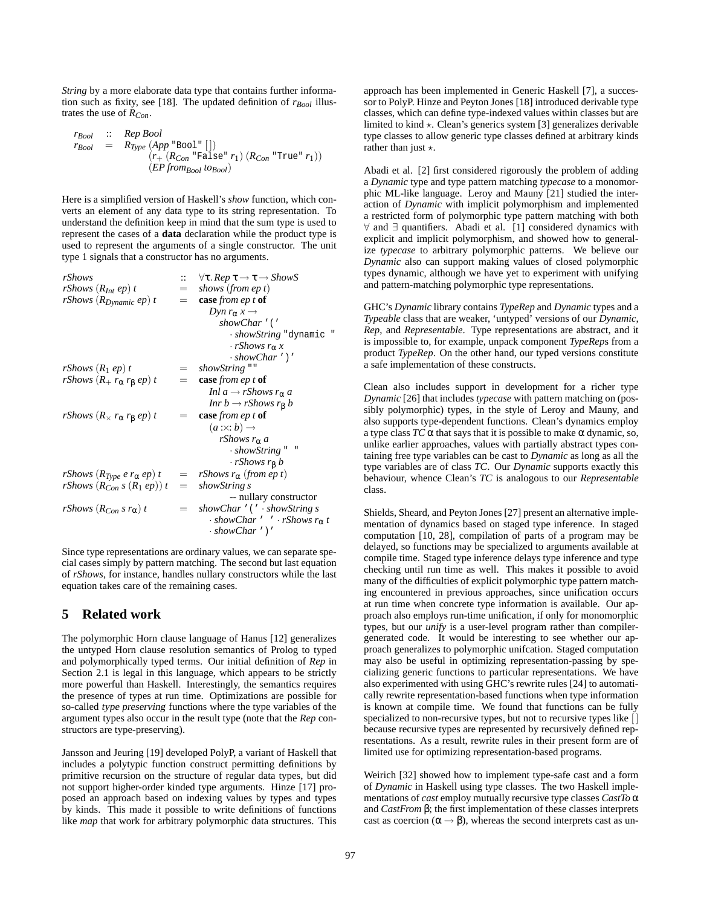*String* by a more elaborate data type that contains further information such as fixity, see [18]. The updated definition of  $r_{Bool}$  illustrates the use of *RCon*.

$$
r_{Bool} :: Rep \text{ } Bool
$$
\n
$$
r_{Bool} = R_{Type} \left( App \text{ } "Bool" \text{ } [\text{]} \right)
$$
\n
$$
\left(r_{+} \left(R_{Con} \text{ } "False" \text{ } r_{1} \right) \left(R_{Con} \text{ } "True" \text{ } r_{1} \right) \right)
$$
\n
$$
\left( EP \text{ } from \text{ } Bool \right)
$$

Here is a simplified version of Haskell's *show* function, which converts an element of any data type to its string representation. To understand the definition keep in mind that the sum type is used to represent the cases of a **data** declaration while the product type is used to represent the arguments of a single constructor. The unit type 1 signals that a constructor has no arguments.

| rShows                                           | $\vdots$ | $\forall \tau$ . Rep $\tau \rightarrow \tau \rightarrow$ ShowS   |
|--------------------------------------------------|----------|------------------------------------------------------------------|
| rShows $(R_{Int}ep)$ t                           | $=$      | shows (from ep $t$ )                                             |
| rShows $(R_{Dynamic}ep)$ t                       | $=$      | case from ep t of                                                |
|                                                  |          | Dyn $r_{\alpha} x \rightarrow$                                   |
|                                                  |          | showChar '('                                                     |
|                                                  |          | · <i>showString</i> "dynamic<br>$\blacksquare$                   |
|                                                  |          | $\cdot$ rShows $r_{\alpha} x$                                    |
|                                                  |          | $\cdot$ show Char')'                                             |
| rShows $(R_1ep)$ t                               |          | showString ""                                                    |
| rShows $(R_+ r_\alpha r_\beta e p) t$            | $=$      | case from ep t of                                                |
|                                                  |          | Inl $a \rightarrow r$ Shows $r_{\alpha}$ a                       |
|                                                  |          | <i>Inr b</i> $\rightarrow$ <i>rShows r</i> <sub>B</sub> <i>b</i> |
| rShows $(R_{\times} r_{\alpha} r_{\beta} e p) t$ | $=$      | case from ep t of                                                |
|                                                  |          | $(a:\times:b) \rightarrow$                                       |
|                                                  |          | rShows $r_{\alpha}$ a                                            |
|                                                  |          | $\cdot$ showString $" "$                                         |
|                                                  |          | $\cdot$ rShows r <sub><math>\beta</math></sub> b                 |
| rShows $(R_{Type} e r_{\alpha} ep) t$            | $=$      | rShows $r_{\alpha}$ (from ep t)                                  |
| rShows $(R_{Con} s (R_1 ep)) t$                  | $=$      | showString s                                                     |
|                                                  |          | -- nullary constructor                                           |
| rShows ( $R_{Con}$ s $r_{\alpha}$ ) t            | $=$      | showChar' $( ' \cdot showString s )$                             |
|                                                  |          | $\cdot$ showChar'' $\cdot$ rShows $r_{\alpha}$ t                 |
|                                                  |          | $\cdot$ showChar ')'                                             |
|                                                  |          |                                                                  |

Since type representations are ordinary values, we can separate special cases simply by pattern matching. The second but last equation of *rShows*, for instance, handles nullary constructors while the last equation takes care of the remaining cases.

## **5 Related work**

The polymorphic Horn clause language of Hanus [12] generalizes the untyped Horn clause resolution semantics of Prolog to typed and polymorphically typed terms. Our initial definition of *Rep* in Section 2.1 is legal in this language, which appears to be strictly more powerful than Haskell. Interestingly, the semantics requires the presence of types at run time. Optimizations are possible for so-called type preserving functions where the type variables of the argument types also occur in the result type (note that the *Rep* constructors are type-preserving).

Jansson and Jeuring [19] developed PolyP, a variant of Haskell that includes a polytypic function construct permitting definitions by primitive recursion on the structure of regular data types, but did not support higher-order kinded type arguments. Hinze [17] proposed an approach based on indexing values by types and types by kinds. This made it possible to write definitions of functions like *map* that work for arbitrary polymorphic data structures. This

approach has been implemented in Generic Haskell [7], a successor to PolyP. Hinze and Peyton Jones [18] introduced derivable type classes, which can define type-indexed values within classes but are limited to kind  $\star$ . Clean's generics system [3] generalizes derivable type classes to allow generic type classes defined at arbitrary kinds rather than just  $\star$ .

Abadi et al. [2] first considered rigorously the problem of adding a *Dynamic* type and type pattern matching *typecase* to a monomorphic ML-like language. Leroy and Mauny [21] studied the interaction of *Dynamic* with implicit polymorphism and implemented a restricted form of polymorphic type pattern matching with both ∀ and ∃ quantifiers. Abadi et al. [1] considered dynamics with explicit and implicit polymorphism, and showed how to generalize *typecase* to arbitrary polymorphic patterns. We believe our *Dynamic* also can support making values of closed polymorphic types dynamic, although we have yet to experiment with unifying and pattern-matching polymorphic type representations.

GHC's *Dynamic* library contains *TypeRep* and *Dynamic* types and a *Typeable* class that are weaker, 'untyped' versions of our *Dynamic*, *Rep*, and *Representable*. Type representations are abstract, and it is impossible to, for example, unpack component *TypeRep*s from a product *TypeRep*. On the other hand, our typed versions constitute a safe implementation of these constructs.

Clean also includes support in development for a richer type *Dynamic* [26] that includes *typecase* with pattern matching on (possibly polymorphic) types, in the style of Leroy and Mauny, and also supports type-dependent functions. Clean's dynamics employ a type class  $TC \alpha$  that says that it is possible to make  $\alpha$  dynamic, so, unlike earlier approaches, values with partially abstract types containing free type variables can be cast to *Dynamic* as long as all the type variables are of class *TC*. Our *Dynamic* supports exactly this behaviour, whence Clean's *TC* is analogous to our *Representable* class.

Shields, Sheard, and Peyton Jones [27] present an alternative implementation of dynamics based on staged type inference. In staged computation [10, 28], compilation of parts of a program may be delayed, so functions may be specialized to arguments available at compile time. Staged type inference delays type inference and type checking until run time as well. This makes it possible to avoid many of the difficulties of explicit polymorphic type pattern matching encountered in previous approaches, since unification occurs at run time when concrete type information is available. Our approach also employs run-time unification, if only for monomorphic types, but our *unify* is a user-level program rather than compilergenerated code. It would be interesting to see whether our approach generalizes to polymorphic unifcation. Staged computation may also be useful in optimizing representation-passing by specializing generic functions to particular representations. We have also experimented with using GHC's rewrite rules [24] to automatically rewrite representation-based functions when type information is known at compile time. We found that functions can be fully specialized to non-recursive types, but not to recursive types like [] because recursive types are represented by recursively defined representations. As a result, rewrite rules in their present form are of limited use for optimizing representation-based programs.

Weirich [32] showed how to implement type-safe cast and a form of *Dynamic* in Haskell using type classes. The two Haskell implementations of *cast* employ mutually recursive type classes *CastTo* α and *CastFrom* β; the first implementation of these classes interprets cast as coercion ( $\alpha \rightarrow \beta$ ), whereas the second interprets cast as un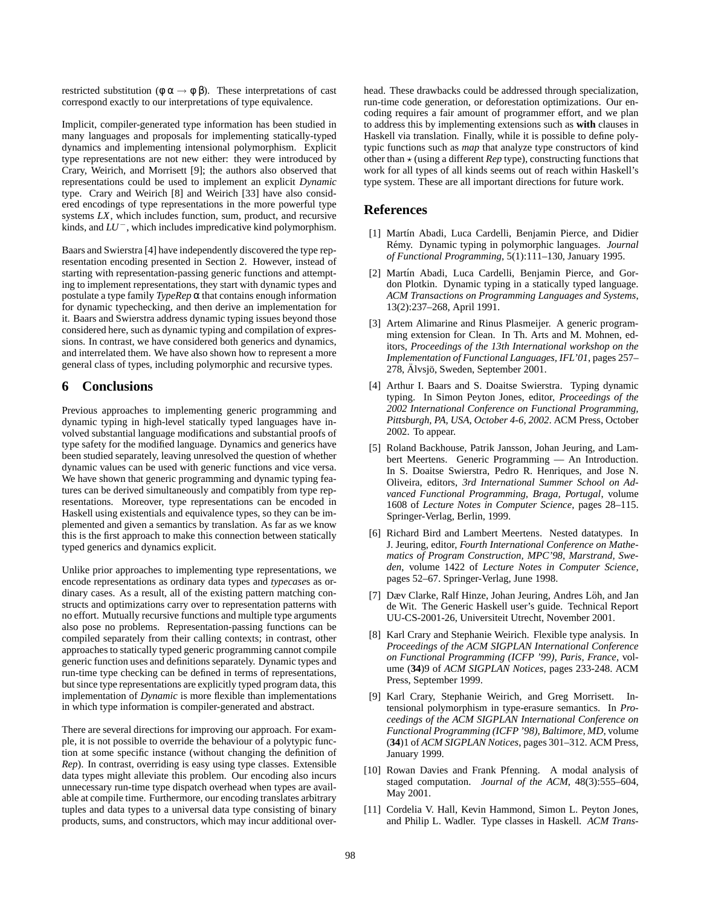restricted substitution ( $\phi \alpha \rightarrow \phi \beta$ ). These interpretations of cast correspond exactly to our interpretations of type equivalence.

Implicit, compiler-generated type information has been studied in many languages and proposals for implementing statically-typed dynamics and implementing intensional polymorphism. Explicit type representations are not new either: they were introduced by Crary, Weirich, and Morrisett [9]; the authors also observed that representations could be used to implement an explicit *Dynamic* type. Crary and Weirich [8] and Weirich [33] have also considered encodings of type representations in the more powerful type systems *LX*, which includes function, sum, product, and recursive kinds, and *LU*−, which includes impredicative kind polymorphism.

Baars and Swierstra [4] have independently discovered the type representation encoding presented in Section 2. However, instead of starting with representation-passing generic functions and attempting to implement representations, they start with dynamic types and postulate a type family *TypeRep* α that contains enough information for dynamic typechecking, and then derive an implementation for it. Baars and Swierstra address dynamic typing issues beyond those considered here, such as dynamic typing and compilation of expressions. In contrast, we have considered both generics and dynamics, and interrelated them. We have also shown how to represent a more general class of types, including polymorphic and recursive types.

#### **6 Conclusions**

Previous approaches to implementing generic programming and dynamic typing in high-level statically typed languages have involved substantial language modifications and substantial proofs of type safety for the modified language. Dynamics and generics have been studied separately, leaving unresolved the question of whether dynamic values can be used with generic functions and vice versa. We have shown that generic programming and dynamic typing features can be derived simultaneously and compatibly from type representations. Moreover, type representations can be encoded in Haskell using existentials and equivalence types, so they can be implemented and given a semantics by translation. As far as we know this is the first approach to make this connection between statically typed generics and dynamics explicit.

Unlike prior approaches to implementing type representations, we encode representations as ordinary data types and *typecase*s as ordinary cases. As a result, all of the existing pattern matching constructs and optimizations carry over to representation patterns with no effort. Mutually recursive functions and multiple type arguments also pose no problems. Representation-passing functions can be compiled separately from their calling contexts; in contrast, other approaches to statically typed generic programming cannot compile generic function uses and definitions separately. Dynamic types and run-time type checking can be defined in terms of representations, but since type representations are explicitly typed program data, this implementation of *Dynamic* is more flexible than implementations in which type information is compiler-generated and abstract.

There are several directions for improving our approach. For example, it is not possible to override the behaviour of a polytypic function at some specific instance (without changing the definition of *Rep*). In contrast, overriding is easy using type classes. Extensible data types might alleviate this problem. Our encoding also incurs unnecessary run-time type dispatch overhead when types are available at compile time. Furthermore, our encoding translates arbitrary tuples and data types to a universal data type consisting of binary products, sums, and constructors, which may incur additional overhead. These drawbacks could be addressed through specialization, run-time code generation, or deforestation optimizations. Our encoding requires a fair amount of programmer effort, and we plan to address this by implementing extensions such as **with** clauses in Haskell via translation. Finally, while it is possible to define polytypic functions such as *map* that analyze type constructors of kind other than  $\star$  (using a different *Rep* type), constructing functions that work for all types of all kinds seems out of reach within Haskell's type system. These are all important directions for future work.

#### **References**

- [1] Martín Abadi, Luca Cardelli, Benjamin Pierce, and Didier Rémy. Dynamic typing in polymorphic languages. *Journal of Functional Programming*, 5(1):111–130, January 1995.
- [2] Martín Abadi, Luca Cardelli, Benjamin Pierce, and Gordon Plotkin. Dynamic typing in a statically typed language. *ACM Transactions on Programming Languages and Systems*, 13(2):237–268, April 1991.
- [3] Artem Alimarine and Rinus Plasmeijer. A generic programming extension for Clean. In Th. Arts and M. Mohnen, editors, *Proceedings of the 13th International workshop on the Implementation of Functional Languages, IFL'01*, pages 257– 278, Älvsjö, Sweden, September 2001.
- [4] Arthur I. Baars and S. Doaitse Swierstra. Typing dynamic typing. In Simon Peyton Jones, editor, *Proceedings of the 2002 International Conference on Functional Programming, Pittsburgh, PA, USA, October 4-6, 2002*. ACM Press, October 2002. To appear.
- [5] Roland Backhouse, Patrik Jansson, Johan Jeuring, and Lambert Meertens. Generic Programming — An Introduction. In S. Doaitse Swierstra, Pedro R. Henriques, and Jose N. Oliveira, editors, *3rd International Summer School on Advanced Functional Programming, Braga, Portugal*, volume 1608 of *Lecture Notes in Computer Science*, pages 28–115. Springer-Verlag, Berlin, 1999.
- [6] Richard Bird and Lambert Meertens. Nested datatypes. In J. Jeuring, editor, *Fourth International Conference on Mathematics of Program Construction, MPC'98, Marstrand, Sweden*, volume 1422 of *Lecture Notes in Computer Science*, pages 52–67. Springer-Verlag, June 1998.
- [7] Dæv Clarke, Ralf Hinze, Johan Jeuring, Andres Löh, and Jan de Wit. The Generic Haskell user's guide. Technical Report UU-CS-2001-26, Universiteit Utrecht, November 2001.
- [8] Karl Crary and Stephanie Weirich. Flexible type analysis. In *Proceedings of the ACM SIGPLAN International Conference on Functional Programming (ICFP '99), Paris, France*, volume (**34**)9 of *ACM SIGPLAN Notices*, pages 233-248. ACM Press, September 1999.
- [9] Karl Crary, Stephanie Weirich, and Greg Morrisett. Intensional polymorphism in type-erasure semantics. In *Proceedings of the ACM SIGPLAN International Conference on Functional Programming (ICFP '98), Baltimore, MD*, volume (**34**)1 of *ACM SIGPLAN Notices*, pages 301–312. ACM Press, January 1999.
- [10] Rowan Davies and Frank Pfenning. A modal analysis of staged computation. *Journal of the ACM*, 48(3):555–604, May 2001.
- [11] Cordelia V. Hall, Kevin Hammond, Simon L. Peyton Jones, and Philip L. Wadler. Type classes in Haskell. *ACM Trans-*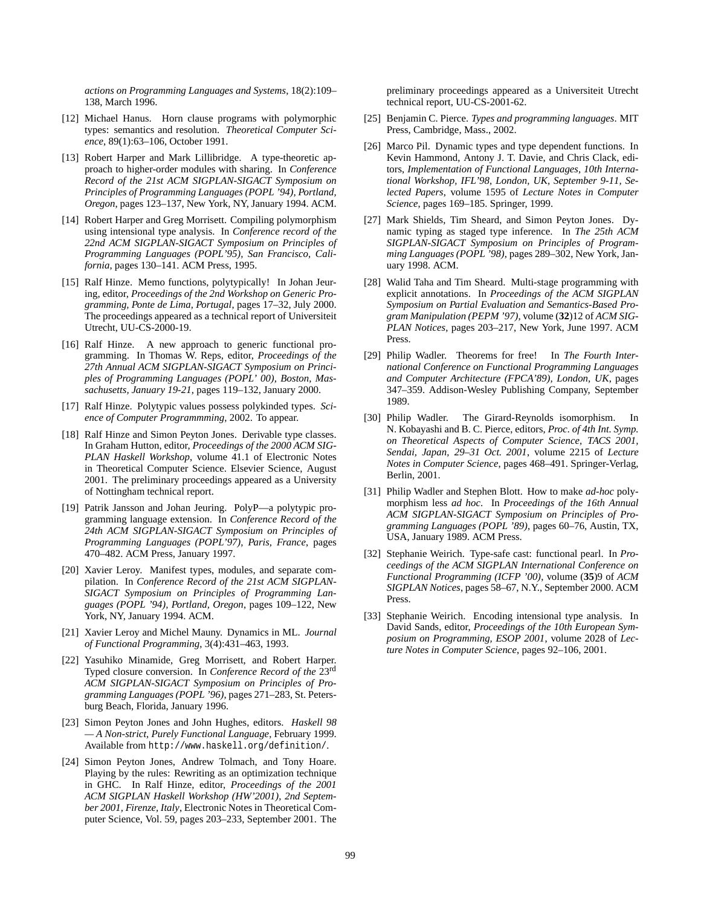*actions on Programming Languages and Systems*, 18(2):109– 138, March 1996.

- [12] Michael Hanus. Horn clause programs with polymorphic types: semantics and resolution. *Theoretical Computer Science*, 89(1):63–106, October 1991.
- [13] Robert Harper and Mark Lillibridge. A type-theoretic approach to higher-order modules with sharing. In *Conference Record of the 21st ACM SIGPLAN-SIGACT Symposium on Principles of Programming Languages (POPL '94), Portland, Oregon*, pages 123–137, New York, NY, January 1994. ACM.
- [14] Robert Harper and Greg Morrisett. Compiling polymorphism using intensional type analysis. In *Conference record of the 22nd ACM SIGPLAN-SIGACT Symposium on Principles of Programming Languages (POPL'95), San Francisco, California*, pages 130–141. ACM Press, 1995.
- [15] Ralf Hinze. Memo functions, polytypically! In Johan Jeuring, editor, *Proceedings of the 2nd Workshop on Generic Programming, Ponte de Lima, Portugal*, pages 17–32, July 2000. The proceedings appeared as a technical report of Universiteit Utrecht, UU-CS-2000-19.
- [16] Ralf Hinze. A new approach to generic functional programming. In Thomas W. Reps, editor, *Proceedings of the 27th Annual ACM SIGPLAN-SIGACT Symposium on Principles of Programming Languages (POPL' 00), Boston, Massachusetts, January 19-21*, pages 119–132, January 2000.
- [17] Ralf Hinze. Polytypic values possess polykinded types. *Science of Computer Programmming*, 2002. To appear.
- [18] Ralf Hinze and Simon Peyton Jones. Derivable type classes. In Graham Hutton, editor, *Proceedings of the 2000 ACM SIG-PLAN Haskell Workshop*, volume 41.1 of Electronic Notes in Theoretical Computer Science. Elsevier Science, August 2001. The preliminary proceedings appeared as a University of Nottingham technical report.
- [19] Patrik Jansson and Johan Jeuring. PolyP—a polytypic programming language extension. In *Conference Record of the 24th ACM SIGPLAN-SIGACT Symposium on Principles of Programming Languages (POPL'97), Paris, France*, pages 470–482. ACM Press, January 1997.
- [20] Xavier Leroy. Manifest types, modules, and separate compilation. In *Conference Record of the 21st ACM SIGPLAN-SIGACT Symposium on Principles of Programming Languages (POPL '94), Portland, Oregon*, pages 109–122, New York, NY, January 1994. ACM.
- [21] Xavier Leroy and Michel Mauny. Dynamics in ML. *Journal of Functional Programming*, 3(4):431–463, 1993.
- [22] Yasuhiko Minamide, Greg Morrisett, and Robert Harper. Typed closure conversion. In *Conference Record of the* 23rd *ACM SIGPLAN-SIGACT Symposium on Principles of Programming Languages (POPL '96)*, pages 271–283, St. Petersburg Beach, Florida, January 1996.
- [23] Simon Peyton Jones and John Hughes, editors. *Haskell 98 — A Non-strict, Purely Functional Language*, February 1999. Available from http://www.haskell.org/definition/.
- [24] Simon Peyton Jones, Andrew Tolmach, and Tony Hoare. Playing by the rules: Rewriting as an optimization technique in GHC. In Ralf Hinze, editor, *Proceedings of the 2001 ACM SIGPLAN Haskell Workshop (HW'2001), 2nd September 2001, Firenze, Italy*, Electronic Notes in Theoretical Computer Science, Vol. 59, pages 203–233, September 2001. The

preliminary proceedings appeared as a Universiteit Utrecht technical report, UU-CS-2001-62.

- [25] Benjamin C. Pierce. *Types and programming languages*. MIT Press, Cambridge, Mass., 2002.
- [26] Marco Pil. Dynamic types and type dependent functions. In Kevin Hammond, Antony J. T. Davie, and Chris Clack, editors, *Implementation of Functional Languages, 10th International Workshop, IFL'98, London, UK, September 9-11, Selected Papers*, volume 1595 of *Lecture Notes in Computer Science*, pages 169–185. Springer, 1999.
- [27] Mark Shields, Tim Sheard, and Simon Peyton Jones. Dynamic typing as staged type inference. In *The 25th ACM SIGPLAN-SIGACT Symposium on Principles of Programming Languages (POPL '98)*, pages 289–302, New York, January 1998. ACM.
- [28] Walid Taha and Tim Sheard. Multi-stage programming with explicit annotations. In *Proceedings of the ACM SIGPLAN Symposium on Partial Evaluation and Semantics-Based Program Manipulation (PEPM '97)*, volume (**32**)12 of *ACM SIG-PLAN Notices*, pages 203–217, New York, June 1997. ACM Press.
- [29] Philip Wadler. Theorems for free! In *The Fourth International Conference on Functional Programming Languages and Computer Architecture (FPCA'89), London, UK*, pages 347–359. Addison-Wesley Publishing Company, September 1989.
- [30] Philip Wadler. The Girard-Reynolds isomorphism. In N. Kobayashi and B. C. Pierce, editors, *Proc. of 4th Int. Symp. on Theoretical Aspects of Computer Science, TACS 2001, Sendai, Japan, 29–31 Oct. 2001*, volume 2215 of *Lecture Notes in Computer Science*, pages 468–491. Springer-Verlag, Berlin, 2001.
- [31] Philip Wadler and Stephen Blott. How to make *ad-hoc* polymorphism less *ad hoc*. In *Proceedings of the 16th Annual ACM SIGPLAN-SIGACT Symposium on Principles of Programming Languages (POPL '89)*, pages 60–76, Austin, TX, USA, January 1989. ACM Press.
- [32] Stephanie Weirich. Type-safe cast: functional pearl. In *Proceedings of the ACM SIGPLAN International Conference on Functional Programming (ICFP '00)*, volume (**35**)9 of *ACM SIGPLAN Notices*, pages 58–67, N.Y., September 2000. ACM Press.
- [33] Stephanie Weirich. Encoding intensional type analysis. In David Sands, editor, *Proceedings of the 10th European Symposium on Programming, ESOP 2001*, volume 2028 of *Lecture Notes in Computer Science*, pages 92–106, 2001.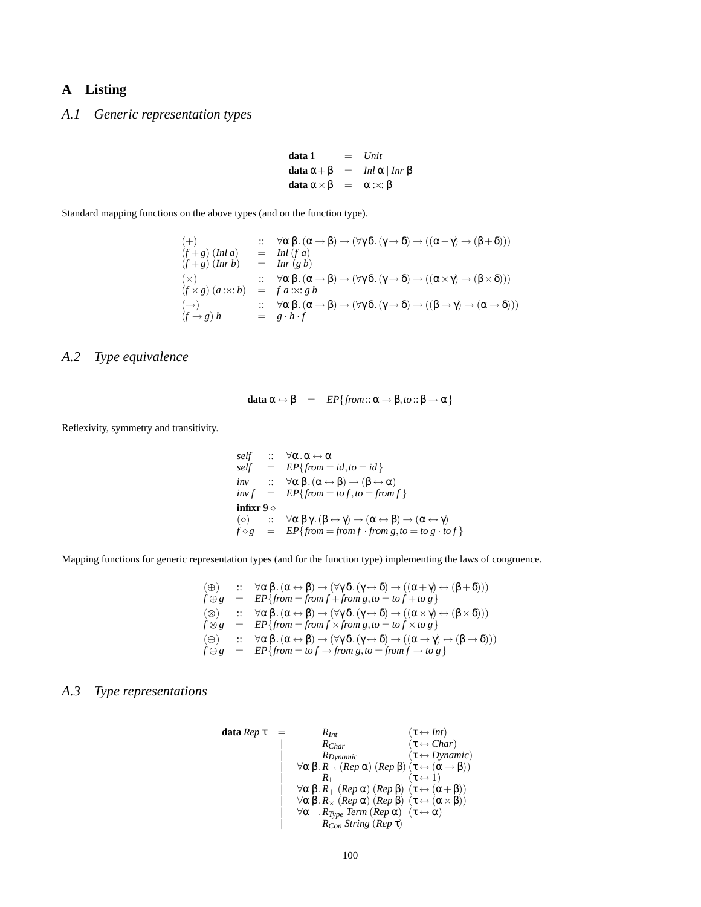## **A Listing**

## *A.1 Generic representation types*

$$
\begin{array}{rcl}\n\textbf{data 1} & = & Unit \\
\textbf{data } \alpha + \beta & = & Inl \alpha \mid Inr \beta \\
\textbf{data } \alpha \times \beta & = & \alpha \colon \times: \beta\n\end{array}
$$

Standard mapping functions on the above types (and on the function type).

$$
\begin{array}{rcl}\n (+) & \cdots & \forall \alpha \beta \cdot (\alpha \rightarrow \beta) \rightarrow (\forall \gamma \delta \cdot (\gamma \rightarrow \delta) \rightarrow ((\alpha + \gamma) \rightarrow (\beta + \delta))) \\
 (f + g) (Int b) & = & Int (g b) \\
 (\times) & \cdots & \forall \alpha \beta \cdot (\alpha \rightarrow \beta) \rightarrow (\forall \gamma \delta \cdot (\gamma \rightarrow \delta) \rightarrow ((\alpha \times \gamma) \rightarrow (\beta \times \delta))) \\
 (f \times g) (a : x : b) & = & f a : x : g b \\
 (\rightarrow) & \cdots & \forall \alpha \beta \cdot (\alpha \rightarrow \beta) \rightarrow (\forall \gamma \delta \cdot (\gamma \rightarrow \delta) \rightarrow ((\beta \rightarrow \gamma) \rightarrow (\alpha \rightarrow \delta))) \\
 (f \rightarrow g) h & = & g \cdot h \cdot f\n\end{array}
$$

## *A.2 Type equivalence*

$$
\text{data }\alpha \leftrightarrow \beta \quad = \quad \mathit{EP}\{\mathit{from}::\alpha \to \beta, \mathit{to}::\beta \to \alpha\}
$$

Reflexivity, symmetry and transitivity.

self :: 
$$
\forall \alpha \ldots \alpha \leftrightarrow \alpha
$$
  
\nself = EP{from = id, to = id}  
\ninv ::  $\forall \alpha \beta \ldots (\alpha \leftrightarrow \beta) \rightarrow (\beta \leftrightarrow \alpha)$   
\ninvf = EP{from = tof, to = fromf}  
\n $\text{infixr } 9 \diamond$   
\n(o) ::  $\forall \alpha \beta \gamma \ldots (\beta \leftrightarrow \gamma) \rightarrow (\alpha \leftrightarrow \beta) \rightarrow (\alpha \leftrightarrow \gamma)$   
\n $f \diamond g = EP{from = fromf \cdot from g, to = to g \cdot tof}$ 

Mapping functions for generic representation types (and for the function type) implementing the laws of congruence.

\n- \n
$$
(\oplus)
$$
  $\therefore$   $\forall \alpha \beta \cdot (\alpha \leftrightarrow \beta) \rightarrow (\forall \gamma \delta \cdot (\gamma \leftrightarrow \delta) \rightarrow ((\alpha + \gamma) \leftrightarrow (\beta + \delta)))$ \n
\n- \n $f \oplus g$   $=$   $EP\{from = fromf + fromg, to = tof + tog\}$ \n
\n- \n $(\otimes)$   $\therefore$   $\forall \alpha \beta \cdot (\alpha \leftrightarrow \beta) \rightarrow (\forall \gamma \delta \cdot (\gamma \leftrightarrow \delta) \rightarrow ((\alpha \times \gamma) \leftrightarrow (\beta \times \delta)))$ \n
\n- \n $f \otimes g$   $=$   $EP\{from = fromf \times fromg, to = tof \times tog\}$ \n
\n- \n $(\ominus)$   $\therefore$   $\forall \alpha \beta \cdot (\alpha \leftrightarrow \beta) \rightarrow (\forall \gamma \delta \cdot (\gamma \leftrightarrow \delta) \rightarrow ((\alpha \rightarrow \gamma) \leftrightarrow (\beta \rightarrow \delta)))$ \n
\n- \n $f \ominus g$   $=$   $EP\{from = tof \rightarrow fromg, to = fromf \rightarrow tog\}$ \n
\n

## *A.3 Type representations*

$$
\begin{array}{rcl}\n\textbf{data } Rep \ \tau & = & R_{Int} & (\tau \leftrightarrow Int) \\
 & R_{Char} & (\tau \leftrightarrow Char) \\
 & R_{Dynamic} & (\tau \leftrightarrow Dynamic) \\
 & \forall \alpha \beta . R_{\rightarrow} (Rep \ \alpha) (Rep \ \beta) (\tau \leftrightarrow (\alpha \rightarrow \beta)) \\
 & R_1 & (\tau \leftrightarrow 1) \\
 & \forall \alpha \beta . R_{+} (Rep \ \alpha) (Rep \ \beta) (\tau \leftrightarrow (\alpha + \beta)) \\
 & \forall \alpha \beta . R_{\times} (Rep \ \alpha) (Rep \ \beta) (\tau \leftrightarrow (\alpha \times \beta)) \\
 & \forall \alpha \quad R_{Type \ Term} (Rep \ \alpha) (\tau \leftrightarrow \alpha) \\
 & R_{Con \ String} (Rep \ \tau)\n\end{array}
$$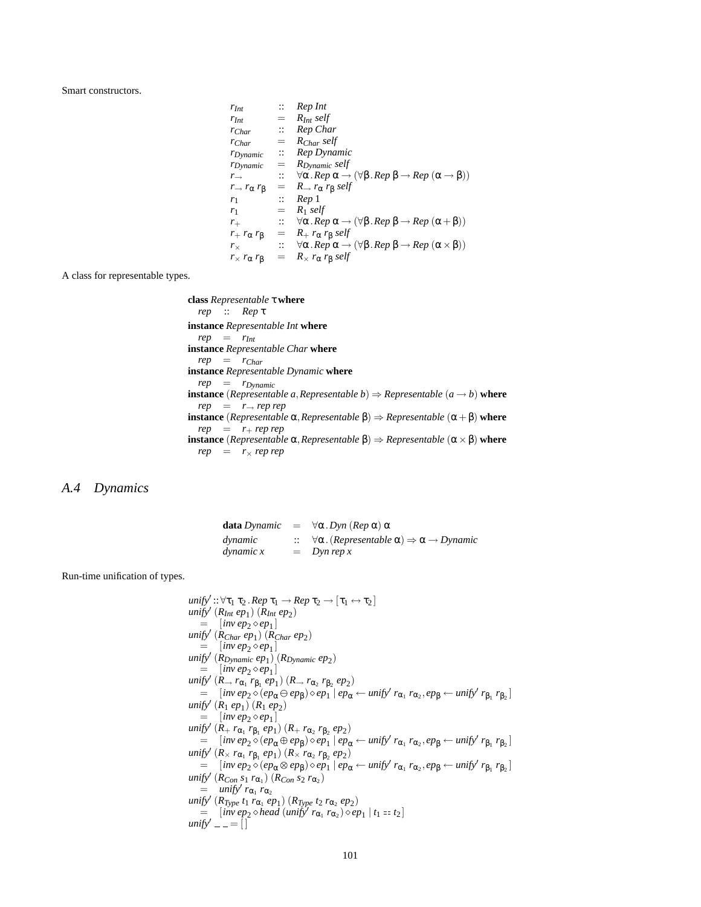Smart constructors.

$$
r_{Int}
$$
 :: Rep Int  
\n
$$
r_{Int}
$$
 = R<sub>Int</sub> self  
\n
$$
r_{Char}
$$
 :: Rep Char  
\n
$$
r_{Char}
$$
 = R<sub>Char</sub> self  
\n
$$
r_{Dynamic}
$$
 :: Rep Dynamic  
\n
$$
r_{Dynamic}
$$
 = R<sub>Dynamic</sub> self  
\n
$$
r_{\rightarrow}
$$
 :: ∇
$$
\forall \alpha . Rep \alpha \rightarrow (\forall \beta . Rep \beta \rightarrow Rep (\alpha \rightarrow \beta))
$$
\n
$$
r_{\rightarrow} r_{\alpha} r_{\beta} = R_{\rightarrow} r_{\alpha} r_{\beta} self\n
$$
r_1
$$
 :: Rep 1  
\n
$$
r_1
$$
 = R<sub>1</sub> self  
\n
$$
r_+
$$
 :: ∇α  $r_{\beta}$  self  
\n
$$
r_+
$$
 :: ∇α  $r_{\beta}$  self  
\n
$$
r_{\times}
$$
 :: ∇α  $Rep \alpha \rightarrow (\forall \beta . Rep \beta \rightarrow Rep (\alpha \times \beta))$ \n
$$
r_{\times} r_{\alpha} r_{\beta} = R_{\times} r_{\alpha} r_{\beta} self
$$
$$

A class for representable types.

**class** *Representable* τ **where** *rep* :: *Rep* τ

$$
r = r
$$
\n
$$
r = r
$$
\n
$$
r = r
$$
\n
$$
r = r
$$
\n
$$
r = r
$$
\n
$$
r = r
$$
\n
$$
r = r
$$
\n
$$
r = r
$$
\n
$$
r = r
$$
\n
$$
r = r
$$
\n
$$
r = r
$$
\n
$$
r = r
$$
\n
$$
r = r
$$
\n
$$
r = r
$$
\n
$$
r = r
$$
\n
$$
r = r
$$
\n
$$
r = r
$$
\n
$$
r = r
$$
\n
$$
r = r
$$
\n
$$
r = r
$$
\n
$$
r = r
$$
\n
$$
r = r
$$
\n
$$
r = r
$$
\n
$$
r = r
$$
\n
$$
r = r
$$
\n
$$
r = r
$$
\n
$$
r = r
$$
\n
$$
r = r
$$
\n
$$
r = r
$$
\n
$$
r = r
$$
\n
$$
r = r
$$
\n
$$
r = r
$$
\n
$$
r = r
$$
\n
$$
r = r
$$
\n
$$
r = r
$$
\n
$$
r = r
$$
\n
$$
r = r
$$
\n
$$
r = r
$$
\n
$$
r = r
$$
\n
$$
r = r
$$
\n
$$
r = r
$$
\n
$$
r = r
$$
\n
$$
r = r
$$
\n
$$
r = r
$$
\n
$$
r = r
$$
\n
$$
r = r
$$
\n
$$
r = r
$$
\n
$$
r = r
$$
\n
$$
r = r
$$
\n
$$
r = r
$$
\n
$$
r = r
$$
\n
$$
r = r
$$
\n
$$
r = r
$$
\n
$$
r = r
$$
\n
$$
r = r
$$
\n
$$
r = r
$$
\n
$$
r = r
$$
\n
$$
r = r
$$
\n
$$
r = r
$$

## *A.4 Dynamics*

|              | <b>data</b> Dynamic $= \forall \alpha \cdot D$ yn (Rep $\alpha$ ) $\alpha$                           |
|--------------|------------------------------------------------------------------------------------------------------|
| dynamic      | $\therefore$ $\forall \alpha$ . (Representable $\alpha$ ) $\Rightarrow$ $\alpha \rightarrow$ Dynamic |
| $d$ ynamic x | $=$ Dyn rep x                                                                                        |

Run-time unification of types.

$$
unify': \forall \tau_1 \tau_2 \ldots Rep \tau_1 \rightarrow Rep \tau_2 \rightarrow [\tau_1 \leftrightarrow \tau_2]
$$
\n
$$
unify' \quad (R_{Int} ep_1) \quad (R_{Int} ep_2)
$$
\n
$$
= [inv \, ep_2 \circ ep_1]
$$
\n
$$
unify' \quad (R_{Char} ep_1) \quad (R_{Char} ep_2)
$$
\n
$$
= [inv \, ep_2 \circ ep_1]
$$
\n
$$
unify' \quad (R_{Dynamic} ep_1) \quad (R_{Dynamic} ep_2)
$$
\n
$$
= [inv \, ep_2 \circ ep_1]
$$
\n
$$
unify' \quad (R_{\rightarrow} r_{\alpha_1} r_{\beta_1} ep_1) \quad (R_{\rightarrow} r_{\alpha_2} r_{\beta_2} ep_2)
$$
\n
$$
= [inv \, ep_2 \circ (ep_{\alpha} \ominus ep_{\beta}) \circ ep_1] \quad ep_{\alpha} \leftarrow unify' \, r_{\alpha_1} r_{\alpha_2}, ep_{\beta} \leftarrow unify' \, r_{\beta_1} r_{\beta_2}]
$$
\n
$$
unify' \quad (R_1 ep_1) \quad (R_1 ep_2)
$$
\n
$$
= [inv \, ep_2 \circ ep_1]
$$
\n
$$
unify' \quad (R_{\rightarrow} r_{\alpha_1} r_{\beta_1} ep_1) \quad (R_{\rightarrow} r_{\alpha_2} r_{\beta_2} ep_2)
$$
\n
$$
= [inv \, ep_2 \circ (ep_{\alpha} \oplus ep_{\beta}) \circ ep_1] \quad ep_{\alpha} \leftarrow unify' \, r_{\alpha_1} r_{\alpha_2}, ep_{\beta} \leftarrow unify' \, r_{\beta_1} r_{\beta_2}]
$$
\n
$$
unify' \quad (R_{\times} r_{\alpha_1} r_{\beta_1} ep_1) \quad (R_{\times} r_{\alpha_2} r_{\beta_2} ep_2)
$$
\n
$$
= [inv \, ep_2 \circ (ep_{\alpha} \otimes ep_{\beta}) \circ ep_1] \quad ep_{\alpha} \leftarrow unify' \, r_{\alpha_1} r_{\alpha_2}, ep_{\beta} \leftarrow unify' \, r_{\beta_1} r_{\beta_2}]
$$
\n
$$
unify'
$$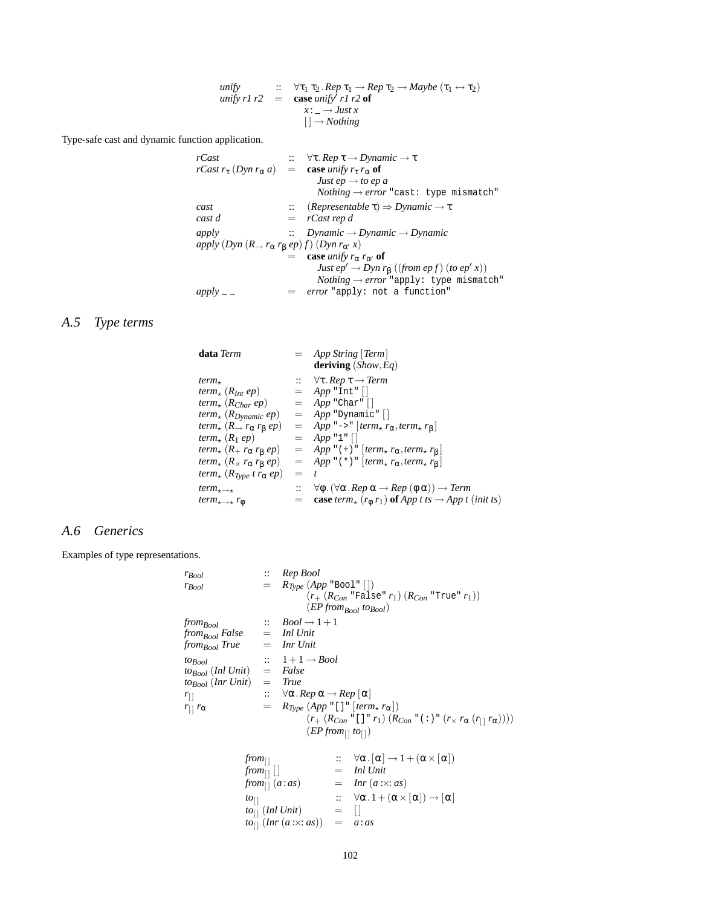$$
\text{unify} \qquad :: \qquad \forall \tau_1 \tau_2. \text{Rep } \tau_1 \rightarrow \text{Rep } \tau_2 \rightarrow \text{Map } \tau_2 \rightarrow \text{Map } (\tau_1 \leftrightarrow \tau_2) \n\text{unify } r1 \ r2 \qquad = \text{case } \text{unify'} \ r1 \ r2 \text{ of} \n\qquad \qquad \begin{array}{c} x : \rightarrow \text{Just } x \\ \Box \rightarrow \text{Nothing} \end{array}
$$

Type-safe cast and dynamic function application.

rCast  
\n
$$
rCast \, r_{\tau} (Dyn \, r_{\alpha} \, a) = \text{case } \text{unify } r_{\tau} \, r_{\alpha} \, \text{of}
$$
  
\n $rCast \, r_{\tau} (Dyn \, r_{\alpha} \, a) = \text{case } \text{unify } r_{\tau} \, r_{\alpha} \, \text{of}$   
\n $\text{Just } ep \to to \, ep \, a$   
\n $\text{Nothing } \to \text{error } \text{rcast: type } \text{mismatch"}$   
\ncast  
\ncast  
\ncast  
\ncast  
\n $\text{cost } d = rCast \, rep \, d$   
\n $\text{input } \text{m} (R \to r_{\alpha} \, r_{\beta} \, ep) f) (Dyn \, r_{\alpha'} \, x)$   
\n $= \text{case } \text{unify } r_{\alpha} \, r_{\alpha'} \, \text{of}$   
\n $\text{Just } ep' \to Dyn \, rp \, ((from \, ep \, f) \, (to \, ep' \, x))$   
\n $\text{Nothing } \to \text{error } \text{``apply': type } \text{mismatch"}$   
\n $\text{apply } --$   
\n $= \text{error } \text{``apply': not a function"}$ 

## *A.5 Type terms*

| data Term                                                             |          | $=$ App String   Term  <br>deriving $(Show, Eq)$                                                            |
|-----------------------------------------------------------------------|----------|-------------------------------------------------------------------------------------------------------------|
| $term_{\star}$                                                        |          | $\therefore$ $\forall \tau \ldotp Rep \tau \rightarrow Term$                                                |
| term <sub>*</sub> $(R_{Int}ep)$                                       |          | $=$ App "Int"                                                                                               |
| term <sub>*</sub> $(R_{Char}ep)$                                      |          | $=$ App "Char" []                                                                                           |
| $term_{\star}$ (R <sub>Dynamic</sub> ep)                              |          | $=$ App "Dynamic"                                                                                           |
| term <sub>*</sub> $(R_-, r_\alpha r_\beta e p)$                       |          | $=$ App "->" [term <sub>*</sub> $r_{\alpha}$ , term <sub>*</sub> $r_{\beta}$ ]                              |
| term <sub>*</sub> $(R_1ep)$                                           |          | $=$ App "1"                                                                                                 |
| term $_{\star}$ (R <sub>+</sub> $r_{\alpha}$ $r_{\beta}$ ep)          |          | $=$ App "(+)"   term <sub>*</sub> $r_{\alpha}$ , term <sub>*</sub> $r_{\beta}$                              |
| term $_{\star}$ ( $R_{\times}$ $r_{\alpha}$ $r_{\beta}$ ep)           |          | $=$ App "(*)"   term <sub>*</sub> $r_{\alpha}$ , term <sub>*</sub> $r_{\beta}$                              |
| term <sub>*</sub> ( $R_{Type}$ t r <sub><math>\alpha</math></sub> ep) | $=$      | $\boldsymbol{t}$                                                                                            |
| $term_{\star\rightarrow\star}$                                        | $\ddots$ | $\forall \phi \ldotp (\forall \alpha \ldotp Rep \alpha \rightarrow Rep \ (\phi \ \alpha)) \rightarrow Term$ |
| $term_{\star\rightarrow\star} r_{\phi}$                               |          | <b>case</b> term <sub>*</sub> $(r_0 \r_1)$ of App t ts $\rightarrow$ App t (init ts)                        |
|                                                                       |          |                                                                                                             |

## *A.6 Generics*

Examples of type representations.

| $r_{Bool}$                       | $\ddots$ | Rep Bool                                                                                                      |
|----------------------------------|----------|---------------------------------------------------------------------------------------------------------------|
| $r_{Bool}$                       |          | $= R_{Type} (App "Bool"   )$                                                                                  |
|                                  |          | $(r_{+} (R_{Con}$ "False" $r_{1}) (R_{Con}$ "True" $r_{1})$ )                                                 |
|                                  |          | $(EP from_{Bool} to_{Bool})$                                                                                  |
| $from_{Bool}$                    |          | $\therefore$ Bool $\rightarrow$ 1+1                                                                           |
| $from_{Bool}$ False $=$ Inl Unit |          |                                                                                                               |
| $from_{Bool}$ True = Inr Unit    |          |                                                                                                               |
| $to_{Bool}$                      |          | $\therefore$ 1+1 $\rightarrow$ Bool                                                                           |
| $to_{Bool}$ (Inl Unit)           | $=$      | False                                                                                                         |
| $to_{Bool}$ (Inr Unit) = True    |          |                                                                                                               |
| $r_{\lceil}$                     |          | $\therefore$ $\forall \alpha$ . Rep $\alpha \rightarrow Rep  \alpha $                                         |
| $r_{\parallel} r_{\alpha}$       |          | $= R_{Type} (App \text{ }   \text{ }   \text{ } \text{ }   \text{ } \text{ } \text{ } kcm \star r_{\alpha} )$ |
|                                  |          | $(r_{+} (R_{Con} " [ ] " r_{1} ) (R_{Con} " ( : ) " (r_{\times} r_{\alpha} (r_{[} r_{\alpha} ) ) ) )$         |
|                                  |          | $(EP from_{\lceil} to_{\lceil})$                                                                              |
|                                  |          |                                                                                                               |
|                                  | from     | $\therefore$ $\forall \alpha.  \alpha  \rightarrow 1 + (\alpha \times  \alpha )$                              |

| $Jrom_{\lceil}$                         |     | $\therefore$ $\forall \alpha .  \alpha  \rightarrow 1 + (\alpha \times  \alpha )$ |
|-----------------------------------------|-----|-----------------------------------------------------------------------------------|
| from $\left[\right]$                    |     | $=$ Inl Unit                                                                      |
| from $(a:as)$                           |     | $= \text{Inr}(a:\times:as)$                                                       |
| $to_{\lceil}$                           |     | $\therefore$ $\forall \alpha . 1 + (\alpha \times  \alpha ) \rightarrow  \alpha $ |
| $to_{\text{[}]}$ (Inl Unit)             | $=$ |                                                                                   |
| $to_{\text{[}]}$ (Inr $(a:\times:as)$ ) | $=$ | a: as                                                                             |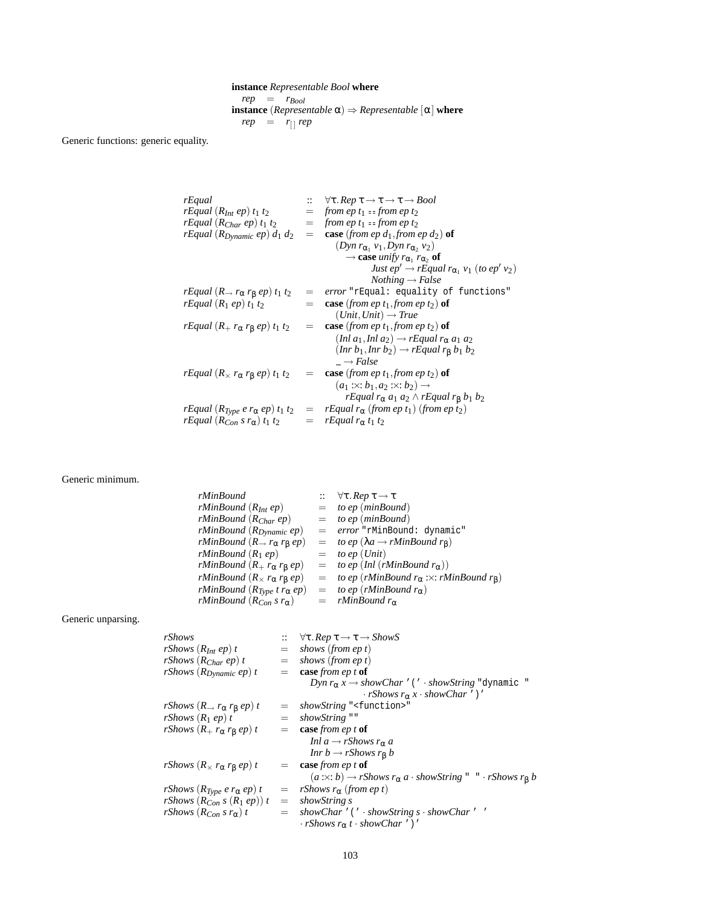## **instance** *Representable Bool* **where**

 $rep = r_{Bool}$ **instance** (*Representable*  $\alpha$ )  $\Rightarrow$  *Representable*  $[\alpha]$  **where**  $rep = r_{[}$  *rep* 

Generic functions: generic equality.

| rEqual                                                            | $\mathbb{R}^{\bullet}$ | $\forall \tau \ldotp Rep \tau \rightarrow \tau \rightarrow \tau \rightarrow Bool$    |
|-------------------------------------------------------------------|------------------------|--------------------------------------------------------------------------------------|
| rEqual $(R_{Int}ep)$ t <sub>1</sub> t <sub>2</sub>                | $=$                    | from ep $t_1 =$ from ep $t_2$                                                        |
| <i>rEqual</i> ( $R_{Char}$ ep) $t_1$ $t_2$                        | $=$                    | from ep $t_1 =$ from ep $t_2$                                                        |
| rEqual ( $R_{Dynamic}$ ep) $d_1 d_2$                              | $=$                    | case (from ep $d_1$ , from ep $d_2$ ) of                                             |
|                                                                   |                        | $(Dyn r_{\alpha_1} v_1, Dyn r_{\alpha_2} v_2)$                                       |
|                                                                   |                        | $\rightarrow$ case <i>unify</i> $r_{\alpha_1} r_{\alpha_2}$ of                       |
|                                                                   |                        | Just ep' $\rightarrow$ rEqual $r_{\alpha_1}$ $v_1$ (to ep' $v_2$ )                   |
|                                                                   |                        | $Nothing \rightarrow False$                                                          |
| <i>rEqual</i> $(R_{\rightarrow} r_{\alpha} r_{\beta} ep) t_1 t_2$ |                        | error "rEqual: equality of functions"                                                |
| rEqual $(R_1ep)$ t <sub>1</sub> t <sub>2</sub>                    | $=$                    | <b>case</b> (from ep $t_1$ , from ep $t_2$ ) of                                      |
|                                                                   |                        | $(Unit, Unit) \rightarrow True$                                                      |
| <i>rEqual</i> $(R_+ r_\alpha r_\beta e p) t_1 t_2$                | $=$                    | <b>case</b> (from ep $t_1$ , from ep $t_2$ ) of                                      |
|                                                                   |                        | $( Inl a_1, Inl a_2) \rightarrow r \to r a_1 a_2$                                    |
|                                                                   |                        | $(Inv b1, Inv b2) \rightarrow rEqual rβ b1 b2$                                       |
|                                                                   |                        | $\rightarrow$ False                                                                  |
| <i>rEqual</i> $(R_x r_\alpha r_\beta e p) t_1 t_2$                |                        | $=$ case (from ep t <sub>1</sub> , from ep t <sub>2</sub> ) of                       |
|                                                                   |                        | $(a_1: \times: b_1, a_2: \times: b_2) \rightarrow$                                   |
|                                                                   |                        | <i>rEqual</i> $r_{\alpha}$ $a_1$ $a_2 \wedge r$ <i>Equal</i> $r_{\beta}$ $b_1$ $b_2$ |
| <i>rEqual</i> ( $R_{Type}$ e $r_{\alpha}$ ep) $t_1$ $t_2$         | $=$                    | rEqual $r_{\alpha}$ (from ep t <sub>1</sub> ) (from ep t <sub>2</sub> )              |
| <i>rEqual</i> $(R_{Con} s r_{\alpha}) t_1 t_2$                    | $=$                    | <i>rEqual</i> $r_{\alpha} t_1 t_2$                                                   |

Generic minimum.

| rMinBound                                                  | $\therefore$ $\forall \tau \ldotp Rep \tau \rightarrow \tau$   |
|------------------------------------------------------------|----------------------------------------------------------------|
| rMinBound $(R_{Int}ep)$                                    | $=$ to ep (minBound)                                           |
| rMinBound $(R_{Char}ep)$                                   | $=$ to ep (minBound)                                           |
| $rMinBound(R_{Dynamic}ep)$                                 | $= error "rMinBound: dynamic"$                                 |
| <i>rMinBound</i> $(R \rightarrow r_{\alpha} r_{\beta} ep)$ | $=$ to ep ( $\lambda a \rightarrow rMinBound$ r <sub>B</sub> ) |
| rMinBound $(R_1ep)$                                        | $=$ to ep (Unit)                                               |
| rMinBound $(R_+ r_\alpha r_\beta e p)$                     | $=$ to ep (Inl (rMinBound $r_{\alpha}$ ))                      |
| rMinBound $(R_x r_\alpha r_\beta ep)$                      | $=$ to ep (rMinBound $r_{\alpha}$ :x: rMinBound $r_{\beta}$ )  |
| rMinBound $(R_{Type} t r_{\alpha} ep)$                     | $=$ to ep (rMinBound $r_{\alpha}$ )                            |
| rMinBound $(R_{Con} s r_{\alpha})$                         | $=$ rMinBound r <sub><math>\alpha</math></sub>                 |
|                                                            |                                                                |

Generic unparsing.

| rShows                                                |         | $\forall \tau$ . Rep $\tau \rightarrow \tau \rightarrow$ ShowS                                                  |
|-------------------------------------------------------|---------|-----------------------------------------------------------------------------------------------------------------|
| rShows $(R_{Int}ep)$ t                                | $=$     | shows (from ep t)                                                                                               |
| rShows $(R_{Char}ep)$ t                               | $=$     | shows (from ep t)                                                                                               |
| rShows ( $R_{Dynamic}$ ep) t                          | $=$     | case from ep t of                                                                                               |
|                                                       |         | Dyn $r_{\alpha}$ x $\rightarrow$ showChar' (' · showString "dynamic "                                           |
|                                                       |         | $\cdot$ rShows $r_{\alpha} x \cdot$ showChar')'                                                                 |
| rShows $(R_{\rightarrow} r_{\alpha} r_{\beta} e p) t$ |         | showString " <function>"</function>                                                                             |
| rShows $(R_1ep)$ t                                    | $=$     | showString ""                                                                                                   |
| rShows $(R_+ r_\alpha r_\beta e p) t$                 | $=$     | case from ep t of                                                                                               |
|                                                       |         | Inl $a \rightarrow r$ Shows $r_{\alpha}$ a                                                                      |
|                                                       |         | <i>Inr</i> $b \rightarrow r$ <i>Shows</i> $r_{\beta}$ <i>b</i>                                                  |
| rShows $(R_x r_\alpha r_\beta e p) t$                 | $=$ $-$ | case from ep t of                                                                                               |
|                                                       |         | $(a:\times:b) \rightarrow r\text{Shows } r_{\alpha} a \cdot \text{showString}$ " " $\cdot$ rShows $r_{\beta} b$ |
| rShows ( $R_{Type}$ e $r_{\alpha}$ ep) t              |         | rShows $r_{\alpha}$ (from ep t)                                                                                 |
| rShows $(R_{Con} s (R_1 ep)) t$                       | $=$     | showString s                                                                                                    |
| rShows $(R_{Con} s r_{\alpha}) t$                     | $=$     | showChar' $\left( ' \cdot \text{showString } s \cdot \text{showChar } ' \right)$                                |
|                                                       |         | $\cdot$ rShows $r_{\alpha}$ t $\cdot$ showChar')'                                                               |